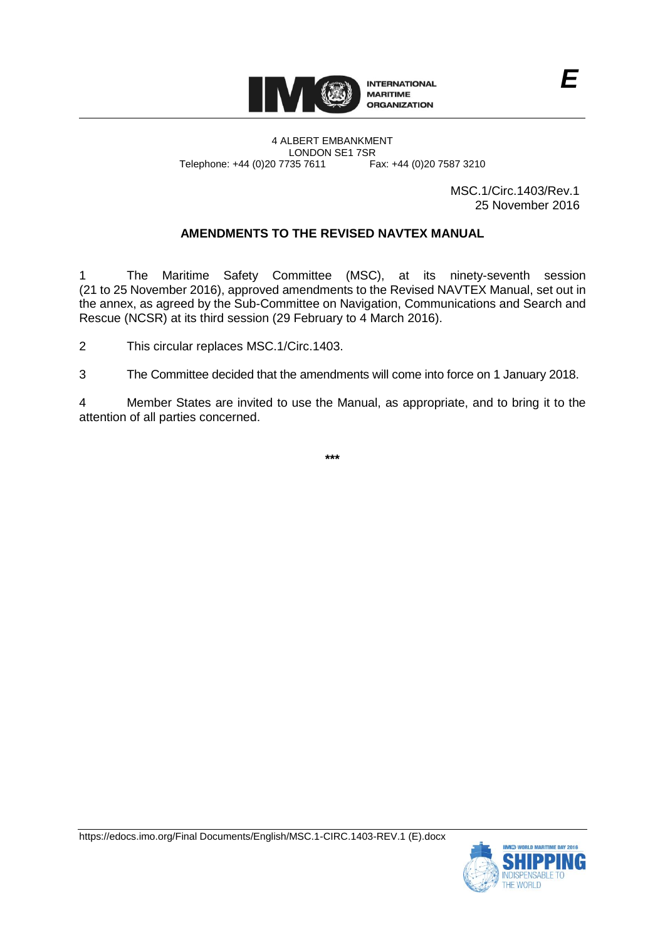

MSC.1/Circ.1403/Rev.1 25 November 2016

# **AMENDMENTS TO THE REVISED NAVTEX MANUAL**

1 The Maritime Safety Committee (MSC), at its ninety-seventh session (21 to 25 November 2016), approved amendments to the Revised NAVTEX Manual, set out in the annex, as agreed by the Sub-Committee on Navigation, Communications and Search and Rescue (NCSR) at its third session (29 February to 4 March 2016).

2 This circular replaces MSC.1/Circ.1403.

3 The Committee decided that the amendments will come into force on 1 January 2018.

4 Member States are invited to use the Manual, as appropriate, and to bring it to the attention of all parties concerned.

**\*\*\***

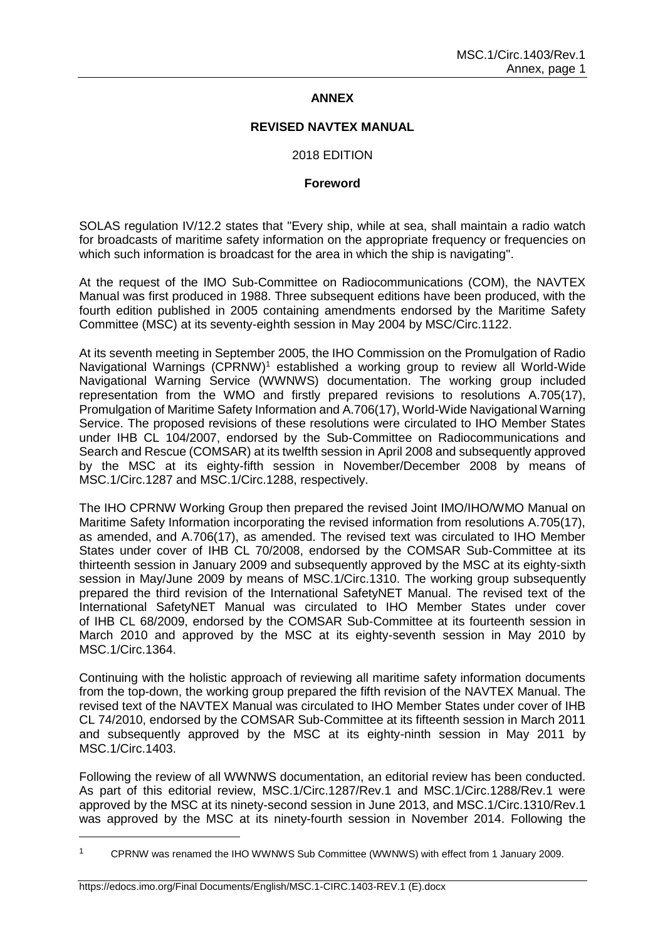## **ANNEX**

### **REVISED NAVTEX MANUAL**

## 2018 EDITION

#### **Foreword**

SOLAS regulation IV/12.2 states that "Every ship, while at sea, shall maintain a radio watch for broadcasts of maritime safety information on the appropriate frequency or frequencies on which such information is broadcast for the area in which the ship is navigating".

At the request of the IMO Sub-Committee on Radiocommunications (COM), the NAVTEX Manual was first produced in 1988. Three subsequent editions have been produced, with the fourth edition published in 2005 containing amendments endorsed by the Maritime Safety Committee (MSC) at its seventy-eighth session in May 2004 by MSC/Circ.1122.

At its seventh meeting in September 2005, the IHO Commission on the Promulgation of Radio Navigational Warnings (CPRNW)<sup>1</sup> established a working group to review all World-Wide Navigational Warning Service (WWNWS) documentation. The working group included representation from the WMO and firstly prepared revisions to resolutions A.705(17), Promulgation of Maritime Safety Information and A.706(17), World-Wide Navigational Warning Service. The proposed revisions of these resolutions were circulated to IHO Member States under IHB CL 104/2007, endorsed by the Sub-Committee on Radiocommunications and Search and Rescue (COMSAR) at its twelfth session in April 2008 and subsequently approved by the MSC at its eighty-fifth session in November/December 2008 by means of MSC.1/Circ.1287 and MSC.1/Circ.1288, respectively.

The IHO CPRNW Working Group then prepared the revised Joint IMO/IHO/WMO Manual on Maritime Safety Information incorporating the revised information from resolutions A.705(17), as amended, and A.706(17), as amended. The revised text was circulated to IHO Member States under cover of IHB CL 70/2008, endorsed by the COMSAR Sub-Committee at its thirteenth session in January 2009 and subsequently approved by the MSC at its eighty-sixth session in May/June 2009 by means of MSC.1/Circ.1310. The working group subsequently prepared the third revision of the International SafetyNET Manual. The revised text of the International SafetyNET Manual was circulated to IHO Member States under cover of IHB CL 68/2009, endorsed by the COMSAR Sub-Committee at its fourteenth session in March 2010 and approved by the MSC at its eighty-seventh session in May 2010 by MSC.1/Circ.1364.

Continuing with the holistic approach of reviewing all maritime safety information documents from the top-down, the working group prepared the fifth revision of the NAVTEX Manual. The revised text of the NAVTEX Manual was circulated to IHO Member States under cover of IHB CL 74/2010, endorsed by the COMSAR Sub-Committee at its fifteenth session in March 2011 and subsequently approved by the MSC at its eighty-ninth session in May 2011 by MSC.1/Circ.1403.

Following the review of all WWNWS documentation, an editorial review has been conducted. As part of this editorial review, MSC.1/Circ.1287/Rev.1 and MSC.1/Circ.1288/Rev.1 were approved by the MSC at its ninety-second session in June 2013, and MSC.1/Circ.1310/Rev.1 was approved by the MSC at its ninety-fourth session in November 2014. Following the

<sup>1</sup> CPRNW was renamed the IHO WWNWS Sub Committee (WWNWS) with effect from 1 January 2009.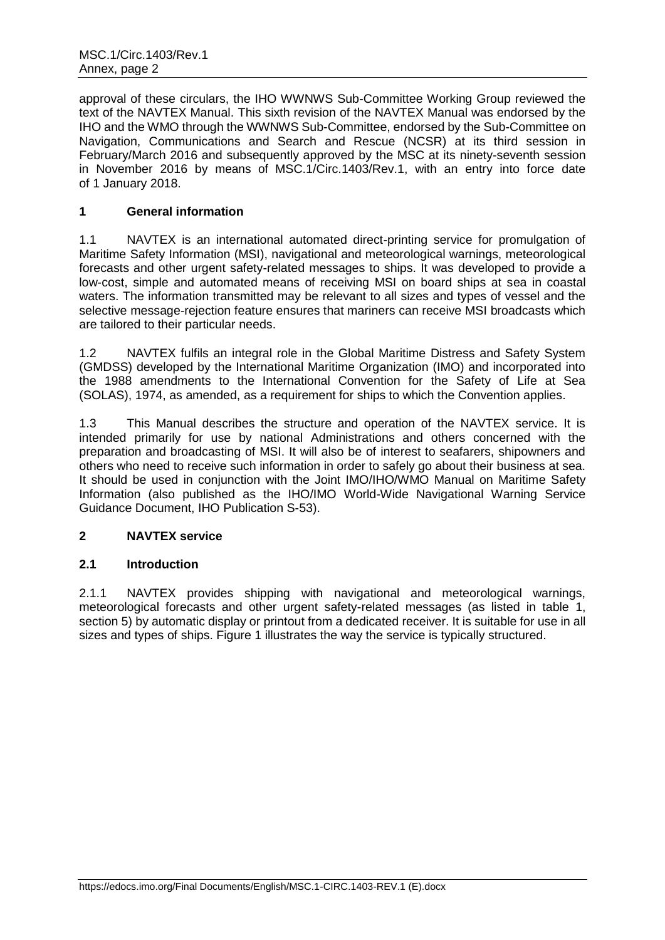approval of these circulars, the IHO WWNWS Sub-Committee Working Group reviewed the text of the NAVTEX Manual. This sixth revision of the NAVTEX Manual was endorsed by the IHO and the WMO through the WWNWS Sub-Committee, endorsed by the Sub-Committee on Navigation, Communications and Search and Rescue (NCSR) at its third session in February/March 2016 and subsequently approved by the MSC at its ninety-seventh session in November 2016 by means of MSC.1/Circ.1403/Rev.1, with an entry into force date of 1 January 2018.

# **1 General information**

1.1 NAVTEX is an international automated direct-printing service for promulgation of Maritime Safety Information (MSI), navigational and meteorological warnings, meteorological forecasts and other urgent safety-related messages to ships. It was developed to provide a low-cost, simple and automated means of receiving MSI on board ships at sea in coastal waters. The information transmitted may be relevant to all sizes and types of vessel and the selective message-rejection feature ensures that mariners can receive MSI broadcasts which are tailored to their particular needs.

1.2 NAVTEX fulfils an integral role in the Global Maritime Distress and Safety System (GMDSS) developed by the International Maritime Organization (IMO) and incorporated into the 1988 amendments to the International Convention for the Safety of Life at Sea (SOLAS), 1974, as amended, as a requirement for ships to which the Convention applies.

1.3 This Manual describes the structure and operation of the NAVTEX service. It is intended primarily for use by national Administrations and others concerned with the preparation and broadcasting of MSI. It will also be of interest to seafarers, shipowners and others who need to receive such information in order to safely go about their business at sea. It should be used in conjunction with the Joint IMO/IHO/WMO Manual on Maritime Safety Information (also published as the IHO/IMO World-Wide Navigational Warning Service Guidance Document, IHO Publication S-53).

# **2 NAVTEX service**

# **2.1 Introduction**

2.1.1 NAVTEX provides shipping with navigational and meteorological warnings, meteorological forecasts and other urgent safety-related messages (as listed in table 1, section 5) by automatic display or printout from a dedicated receiver. It is suitable for use in all sizes and types of ships. Figure 1 illustrates the way the service is typically structured.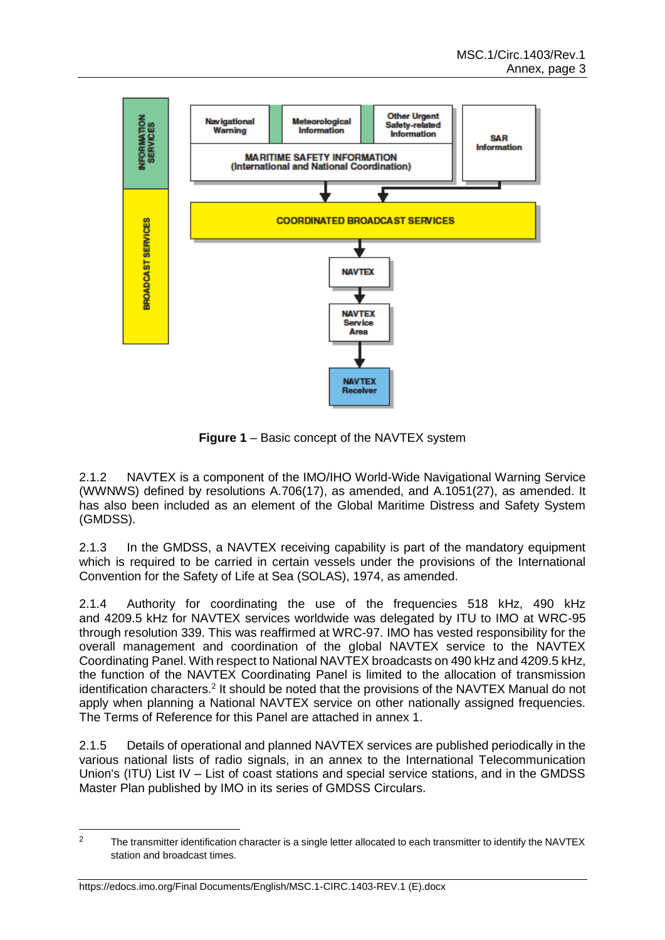

**Figure 1** – Basic concept of the NAVTEX system

2.1.2 NAVTEX is a component of the IMO/IHO World-Wide Navigational Warning Service (WWNWS) defined by resolutions A.706(17), as amended, and A.1051(27), as amended. It has also been included as an element of the Global Maritime Distress and Safety System (GMDSS).

2.1.3 In the GMDSS, a NAVTEX receiving capability is part of the mandatory equipment which is required to be carried in certain vessels under the provisions of the International Convention for the Safety of Life at Sea (SOLAS), 1974, as amended.

2.1.4 Authority for coordinating the use of the frequencies 518 kHz, 490 kHz and 4209.5 kHz for NAVTEX services worldwide was delegated by ITU to IMO at WRC-95 through resolution 339. This was reaffirmed at WRC-97. IMO has vested responsibility for the overall management and coordination of the global NAVTEX service to the NAVTEX Coordinating Panel. With respect to National NAVTEX broadcasts on 490 kHz and 4209.5 kHz, the function of the NAVTEX Coordinating Panel is limited to the allocation of transmission identification characters.<sup>2</sup> It should be noted that the provisions of the NAVTEX Manual do not apply when planning a National NAVTEX service on other nationally assigned frequencies. The Terms of Reference for this Panel are attached in annex 1.

2.1.5 Details of operational and planned NAVTEX services are published periodically in the various national lists of radio signals, in an annex to the International Telecommunication Union's (ITU) List IV – List of coast stations and special service stations, and in the GMDSS Master Plan published by IMO in its series of GMDSS Circulars.

<sup>&</sup>lt;sup>2</sup> The transmitter identification character is a single letter allocated to each transmitter to identify the NAVTEX station and broadcast times.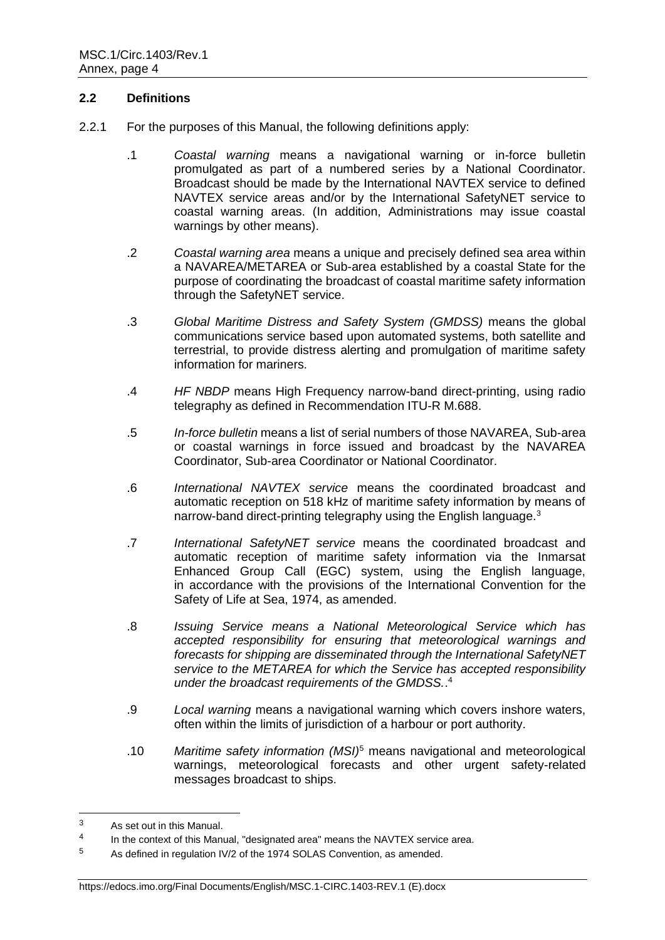### **2.2 Definitions**

- 2.2.1 For the purposes of this Manual, the following definitions apply:
	- .1 *Coastal warning* means a navigational warning or in-force bulletin promulgated as part of a numbered series by a National Coordinator. Broadcast should be made by the International NAVTEX service to defined NAVTEX service areas and/or by the International SafetyNET service to coastal warning areas. (In addition, Administrations may issue coastal warnings by other means).
	- .2 *Coastal warning area* means a unique and precisely defined sea area within a NAVAREA/METAREA or Sub-area established by a coastal State for the purpose of coordinating the broadcast of coastal maritime safety information through the SafetyNET service.
	- .3 *Global Maritime Distress and Safety System (GMDSS)* means the global communications service based upon automated systems, both satellite and terrestrial, to provide distress alerting and promulgation of maritime safety information for mariners.
	- .4 *HF NBDP* means High Frequency narrow-band direct-printing, using radio telegraphy as defined in Recommendation ITU-R M.688.
	- .5 *In-force bulletin* means a list of serial numbers of those NAVAREA, Sub-area or coastal warnings in force issued and broadcast by the NAVAREA Coordinator, Sub-area Coordinator or National Coordinator.
	- .6 *International NAVTEX service* means the coordinated broadcast and automatic reception on 518 kHz of maritime safety information by means of narrow-band direct-printing telegraphy using the English language.<sup>3</sup>
	- .7 *International SafetyNET service* means the coordinated broadcast and automatic reception of maritime safety information via the Inmarsat Enhanced Group Call (EGC) system, using the English language, in accordance with the provisions of the International Convention for the Safety of Life at Sea, 1974, as amended.
	- .8 *Issuing Service means a National Meteorological Service which has accepted responsibility for ensuring that meteorological warnings and forecasts for shipping are disseminated through the International SafetyNET service to the METAREA for which the Service has accepted responsibility under the broadcast requirements of the GMDSS.*. 4
	- .9 *Local warning* means a navigational warning which covers inshore waters, often within the limits of jurisdiction of a harbour or port authority.
	- .10 *Maritime safety information (MSI)*<sup>5</sup> means navigational and meteorological warnings, meteorological forecasts and other urgent safety-related messages broadcast to ships.

#### https://edocs.imo.org/Final Documents/English/MSC.1-CIRC.1403-REV.1 (E).docx

<sup>3</sup> As set out in this Manual.

<sup>4</sup> In the context of this Manual, "designated area" means the NAVTEX service area.

<sup>5</sup> As defined in regulation IV/2 of the 1974 SOLAS Convention, as amended.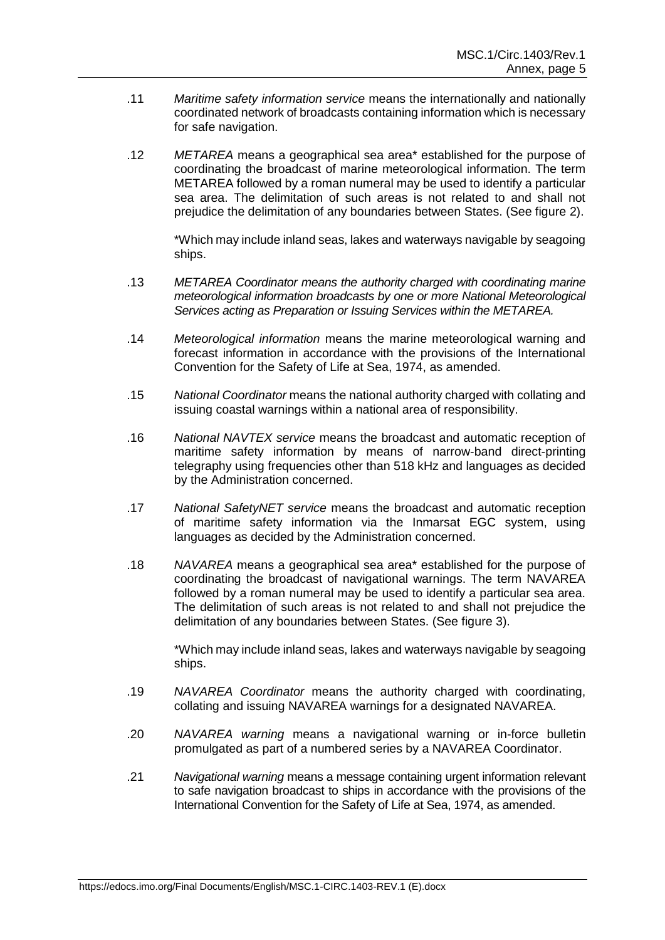- .11 *Maritime safety information service* means the internationally and nationally coordinated network of broadcasts containing information which is necessary for safe navigation.
- .12 *METAREA* means a geographical sea area\* established for the purpose of coordinating the broadcast of marine meteorological information. The term METAREA followed by a roman numeral may be used to identify a particular sea area. The delimitation of such areas is not related to and shall not prejudice the delimitation of any boundaries between States. (See figure 2).

\*Which may include inland seas, lakes and waterways navigable by seagoing ships.

- .13 *METAREA Coordinator means the authority charged with coordinating marine meteorological information broadcasts by one or more National Meteorological Services acting as Preparation or Issuing Services within the METAREA.*
- .14 *Meteorological information* means the marine meteorological warning and forecast information in accordance with the provisions of the International Convention for the Safety of Life at Sea, 1974, as amended.
- .15 *National Coordinator* means the national authority charged with collating and issuing coastal warnings within a national area of responsibility.
- .16 *National NAVTEX service* means the broadcast and automatic reception of maritime safety information by means of narrow-band direct-printing telegraphy using frequencies other than 518 kHz and languages as decided by the Administration concerned.
- .17 *National SafetyNET service* means the broadcast and automatic reception of maritime safety information via the Inmarsat EGC system, using languages as decided by the Administration concerned.
- .18 *NAVAREA* means a geographical sea area\* established for the purpose of coordinating the broadcast of navigational warnings. The term NAVAREA followed by a roman numeral may be used to identify a particular sea area. The delimitation of such areas is not related to and shall not prejudice the delimitation of any boundaries between States. (See figure 3).

\*Which may include inland seas, lakes and waterways navigable by seagoing ships.

- .19 *NAVAREA Coordinator* means the authority charged with coordinating, collating and issuing NAVAREA warnings for a designated NAVAREA.
- .20 *NAVAREA warning* means a navigational warning or in-force bulletin promulgated as part of a numbered series by a NAVAREA Coordinator.
- .21 *Navigational warning* means a message containing urgent information relevant to safe navigation broadcast to ships in accordance with the provisions of the International Convention for the Safety of Life at Sea, 1974, as amended.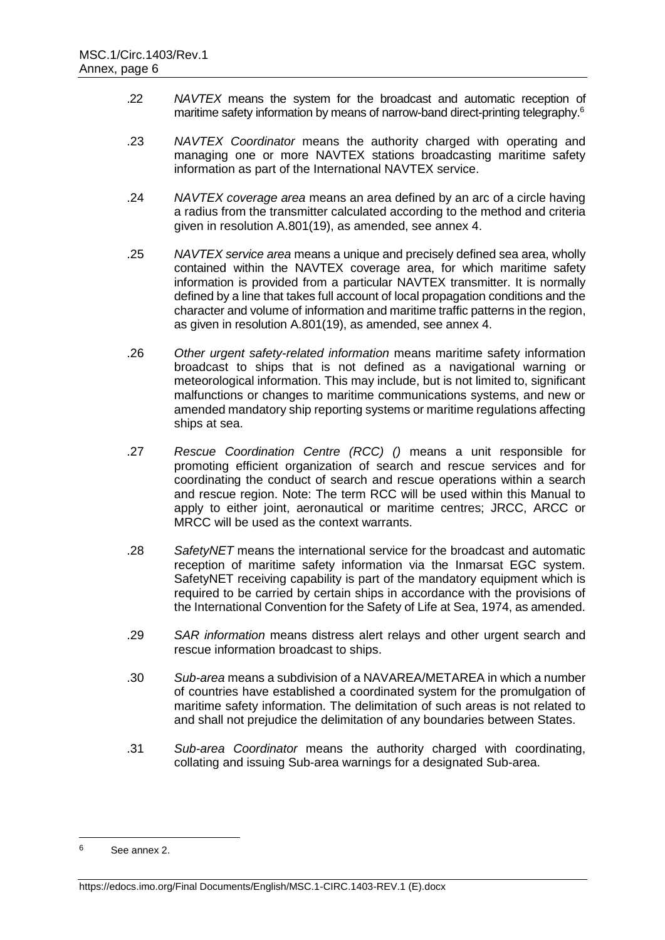- .22 *NAVTEX* means the system for the broadcast and automatic reception of maritime safety information by means of narrow-band direct-printing telegraphy.<sup>6</sup>
- .23 *NAVTEX Coordinator* means the authority charged with operating and managing one or more NAVTEX stations broadcasting maritime safety information as part of the International NAVTEX service.
- .24 *NAVTEX coverage area* means an area defined by an arc of a circle having a radius from the transmitter calculated according to the method and criteria given in resolution A.801(19), as amended, see annex 4.
- .25 *NAVTEX service area* means a unique and precisely defined sea area, wholly contained within the NAVTEX coverage area, for which maritime safety information is provided from a particular NAVTEX transmitter. It is normally defined by a line that takes full account of local propagation conditions and the character and volume of information and maritime traffic patterns in the region, as given in resolution A.801(19), as amended, see annex 4.
- .26 *Other urgent safety-related information* means maritime safety information broadcast to ships that is not defined as a navigational warning or meteorological information. This may include, but is not limited to, significant malfunctions or changes to maritime communications systems, and new or amended mandatory ship reporting systems or maritime regulations affecting ships at sea.
- .27 *Rescue Coordination Centre (RCC) ()* means a unit responsible for promoting efficient organization of search and rescue services and for coordinating the conduct of search and rescue operations within a search and rescue region. Note: The term RCC will be used within this Manual to apply to either joint, aeronautical or maritime centres; JRCC, ARCC or MRCC will be used as the context warrants.
- .28 *SafetyNET* means the international service for the broadcast and automatic reception of maritime safety information via the Inmarsat EGC system. SafetyNET receiving capability is part of the mandatory equipment which is required to be carried by certain ships in accordance with the provisions of the International Convention for the Safety of Life at Sea, 1974, as amended.
- .29 *SAR information* means distress alert relays and other urgent search and rescue information broadcast to ships.
- .30 *Sub-area* means a subdivision of a NAVAREA/METAREA in which a number of countries have established a coordinated system for the promulgation of maritime safety information. The delimitation of such areas is not related to and shall not prejudice the delimitation of any boundaries between States.
- .31 *Sub-area Coordinator* means the authority charged with coordinating, collating and issuing Sub-area warnings for a designated Sub-area.

 $\hat{a}$ <sup>6</sup> See annex 2.

https://edocs.imo.org/Final Documents/English/MSC.1-CIRC.1403-REV.1 (E).docx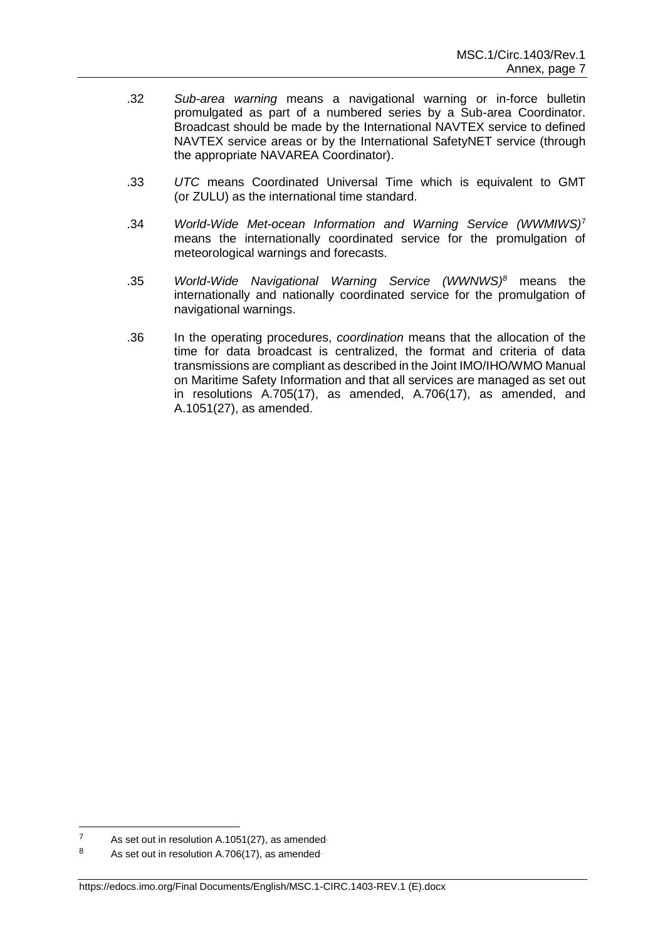- .32 *Sub-area warning* means a navigational warning or in-force bulletin promulgated as part of a numbered series by a Sub-area Coordinator. Broadcast should be made by the International NAVTEX service to defined NAVTEX service areas or by the International SafetyNET service (through the appropriate NAVAREA Coordinator).
- .33 *UTC* means Coordinated Universal Time which is equivalent to GMT (or ZULU) as the international time standard.
- .34 *World-Wide Met-ocean Information and Warning Service (WWMIWS)*<sup>7</sup> means the internationally coordinated service for the promulgation of meteorological warnings and forecasts.
- .35 *World-Wide Navigational Warning Service (WWNWS)<sup>8</sup>* means the internationally and nationally coordinated service for the promulgation of navigational warnings.
- .36 In the operating procedures, *coordination* means that the allocation of the time for data broadcast is centralized, the format and criteria of data transmissions are compliant as described in the Joint IMO/IHO/WMO Manual on Maritime Safety Information and that all services are managed as set out in resolutions A.705(17), as amended, A.706(17), as amended, and A.1051(27), as amended.

 $\overline{7}$ As set out in resolution A.1051(27), as amended

<sup>8</sup> As set out in resolution A.706(17), as amended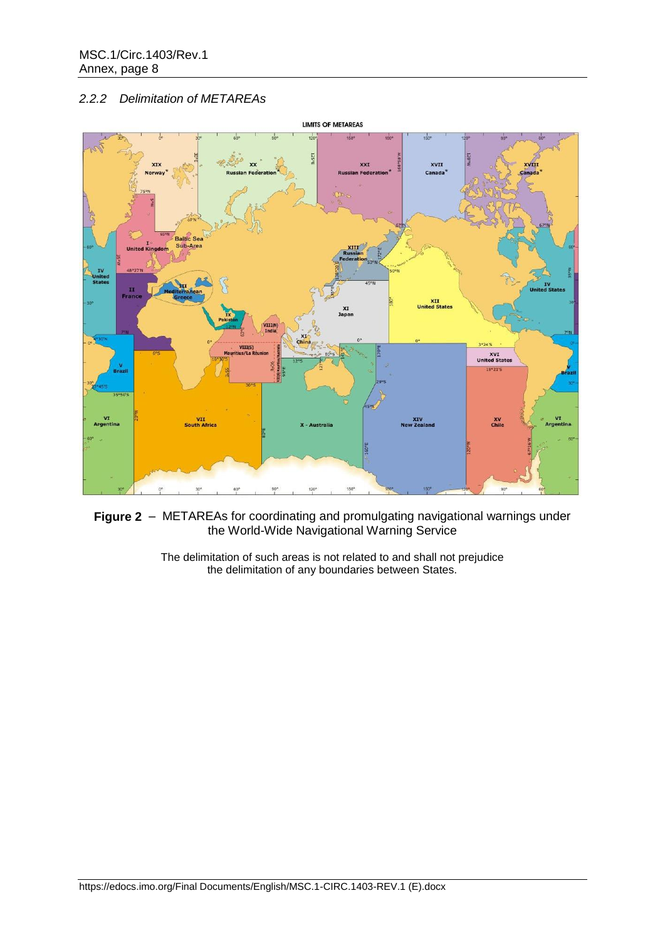# *2.2.2 Delimitation of METAREAs*



**Figure 2** – METAREAs for coordinating and promulgating navigational warnings under the World-Wide Navigational Warning Service

> The delimitation of such areas is not related to and shall not prejudice the delimitation of any boundaries between States.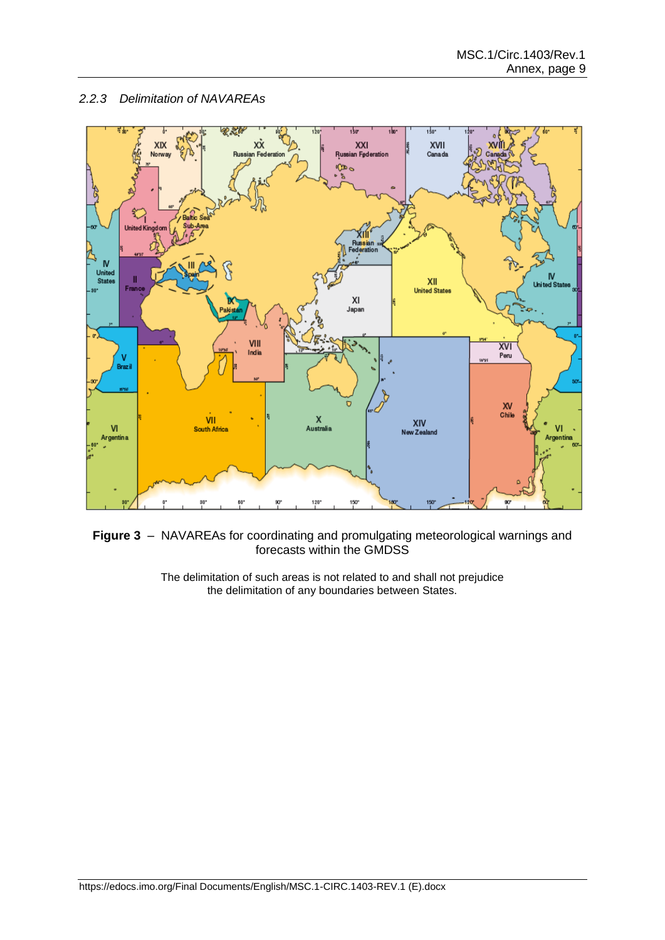# *2.2.3 Delimitation of NAVAREAs*





The delimitation of such areas is not related to and shall not prejudice the delimitation of any boundaries between States.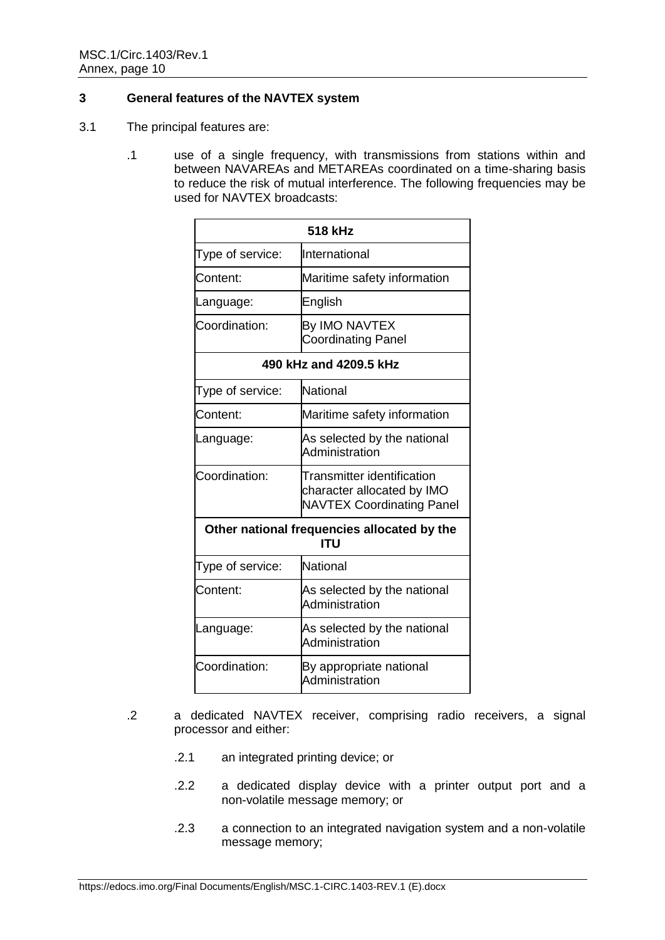## **3 General features of the NAVTEX system**

- 3.1 The principal features are:
	- .1 use of a single frequency, with transmissions from stations within and between NAVAREAs and METAREAs coordinated on a time-sharing basis to reduce the risk of mutual interference. The following frequencies may be used for NAVTEX broadcasts:

|                                                            | 518 kHz                                                                                      |  |  |  |  |  |  |
|------------------------------------------------------------|----------------------------------------------------------------------------------------------|--|--|--|--|--|--|
| Type of service:                                           | International                                                                                |  |  |  |  |  |  |
| Content:                                                   | Maritime safety information                                                                  |  |  |  |  |  |  |
| Language:                                                  | English                                                                                      |  |  |  |  |  |  |
| Coordination:                                              | By IMO NAVTEX<br><b>Coordinating Panel</b>                                                   |  |  |  |  |  |  |
| 490 kHz and 4209.5 kHz                                     |                                                                                              |  |  |  |  |  |  |
| Type of service:                                           | National                                                                                     |  |  |  |  |  |  |
| Content:                                                   | Maritime safety information                                                                  |  |  |  |  |  |  |
| Language:                                                  | As selected by the national<br>Administration                                                |  |  |  |  |  |  |
| Coordination:                                              | Transmitter identification<br>character allocated by IMO<br><b>NAVTEX Coordinating Panel</b> |  |  |  |  |  |  |
|                                                            | Other national frequencies allocated by the<br>ITU                                           |  |  |  |  |  |  |
| Type of service:                                           | National                                                                                     |  |  |  |  |  |  |
| Content:                                                   | As selected by the national<br>Administration                                                |  |  |  |  |  |  |
| As selected by the national<br>Language:<br>Administration |                                                                                              |  |  |  |  |  |  |
| Coordination:<br>By appropriate national<br>Administration |                                                                                              |  |  |  |  |  |  |

- .2 a dedicated NAVTEX receiver, comprising radio receivers, a signal processor and either:
	- .2.1 an integrated printing device; or
	- .2.2 a dedicated display device with a printer output port and a non-volatile message memory; or
	- .2.3 a connection to an integrated navigation system and a non-volatile message memory;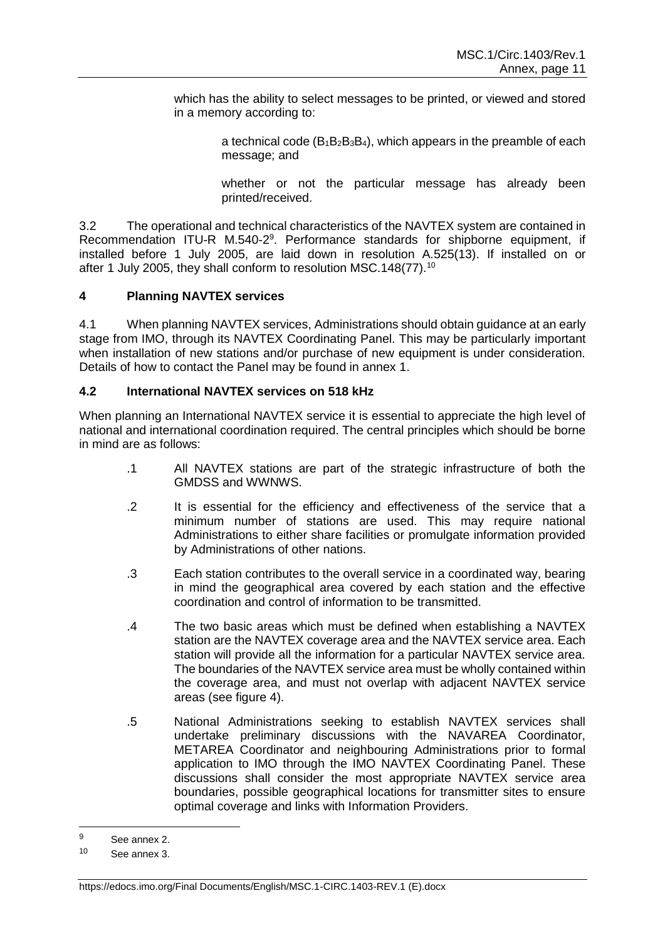which has the ability to select messages to be printed, or viewed and stored in a memory according to:

> a technical code  $(B_1B_2B_3B_4)$ , which appears in the preamble of each message; and

> whether or not the particular message has already been printed/received.

3.2 The operational and technical characteristics of the NAVTEX system are contained in Recommendation ITU-R M.540-2<sup>9</sup>. Performance standards for shipborne equipment, if installed before 1 July 2005, are laid down in resolution A.525(13). If installed on or after 1 July 2005, they shall conform to resolution MSC.148(77).<sup>10</sup>

# **4 Planning NAVTEX services**

4.1 When planning NAVTEX services, Administrations should obtain guidance at an early stage from IMO, through its NAVTEX Coordinating Panel. This may be particularly important when installation of new stations and/or purchase of new equipment is under consideration. Details of how to contact the Panel may be found in annex 1.

## **4.2 International NAVTEX services on 518 kHz**

When planning an International NAVTEX service it is essential to appreciate the high level of national and international coordination required. The central principles which should be borne in mind are as follows:

- .1 All NAVTEX stations are part of the strategic infrastructure of both the GMDSS and WWNWS.
- .2 It is essential for the efficiency and effectiveness of the service that a minimum number of stations are used. This may require national Administrations to either share facilities or promulgate information provided by Administrations of other nations.
- .3 Each station contributes to the overall service in a coordinated way, bearing in mind the geographical area covered by each station and the effective coordination and control of information to be transmitted.
- .4 The two basic areas which must be defined when establishing a NAVTEX station are the NAVTEX coverage area and the NAVTEX service area. Each station will provide all the information for a particular NAVTEX service area. The boundaries of the NAVTEX service area must be wholly contained within the coverage area, and must not overlap with adjacent NAVTEX service areas (see figure 4).
- .5 National Administrations seeking to establish NAVTEX services shall undertake preliminary discussions with the NAVAREA Coordinator, METAREA Coordinator and neighbouring Administrations prior to formal application to IMO through the IMO NAVTEX Coordinating Panel. These discussions shall consider the most appropriate NAVTEX service area boundaries, possible geographical locations for transmitter sites to ensure optimal coverage and links with Information Providers.

 $\mathsf{o}$ See annex 2.

<sup>10</sup> See annex 3.

https://edocs.imo.org/Final Documents/English/MSC.1-CIRC.1403-REV.1 (E).docx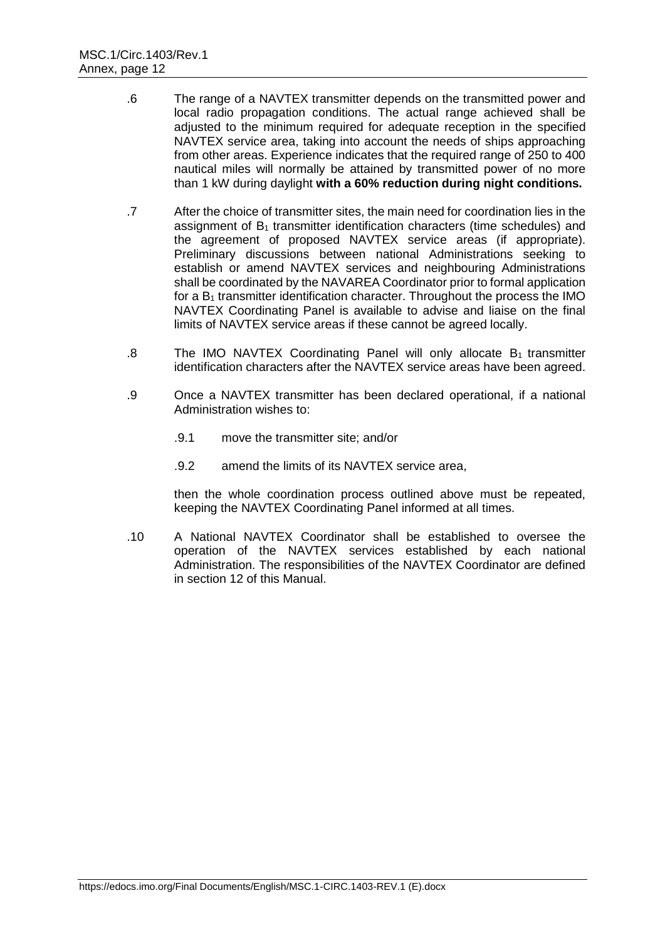- .6 The range of a NAVTEX transmitter depends on the transmitted power and local radio propagation conditions. The actual range achieved shall be adjusted to the minimum required for adequate reception in the specified NAVTEX service area, taking into account the needs of ships approaching from other areas. Experience indicates that the required range of 250 to 400 nautical miles will normally be attained by transmitted power of no more than 1 kW during daylight **with a 60% reduction during night conditions.**
- .7 After the choice of transmitter sites, the main need for coordination lies in the assignment of  $B_1$  transmitter identification characters (time schedules) and the agreement of proposed NAVTEX service areas (if appropriate). Preliminary discussions between national Administrations seeking to establish or amend NAVTEX services and neighbouring Administrations shall be coordinated by the NAVAREA Coordinator prior to formal application for a  $B_1$  transmitter identification character. Throughout the process the IMO NAVTEX Coordinating Panel is available to advise and liaise on the final limits of NAVTEX service areas if these cannot be agreed locally.
- .8 The IMO NAVTEX Coordinating Panel will only allocate  $B_1$  transmitter identification characters after the NAVTEX service areas have been agreed.
- .9 Once a NAVTEX transmitter has been declared operational, if a national Administration wishes to:
	- .9.1 move the transmitter site; and/or
	- .9.2 amend the limits of its NAVTEX service area,

then the whole coordination process outlined above must be repeated, keeping the NAVTEX Coordinating Panel informed at all times.

.10 A National NAVTEX Coordinator shall be established to oversee the operation of the NAVTEX services established by each national Administration. The responsibilities of the NAVTEX Coordinator are defined in section 12 of this Manual.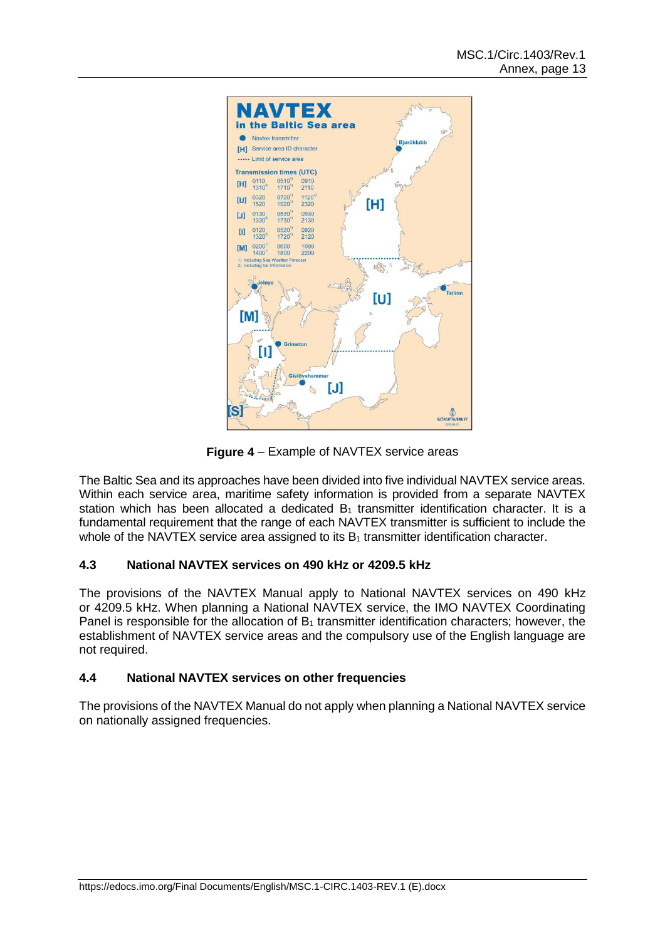

**Figure 4** *–* Example of NAVTEX service areas

The Baltic Sea and its approaches have been divided into five individual NAVTEX service areas. Within each service area, maritime safety information is provided from a separate NAVTEX station which has been allocated a dedicated  $B_1$  transmitter identification character. It is a fundamental requirement that the range of each NAVTEX transmitter is sufficient to include the whole of the NAVTEX service area assigned to its  $B_1$  transmitter identification character.

# **4.3 National NAVTEX services on 490 kHz or 4209.5 kHz**

The provisions of the NAVTEX Manual apply to National NAVTEX services on 490 kHz or 4209.5 kHz. When planning a National NAVTEX service, the IMO NAVTEX Coordinating Panel is responsible for the allocation of  $B_1$  transmitter identification characters; however, the establishment of NAVTEX service areas and the compulsory use of the English language are not required.

## **4.4 National NAVTEX services on other frequencies**

The provisions of the NAVTEX Manual do not apply when planning a National NAVTEX service on nationally assigned frequencies.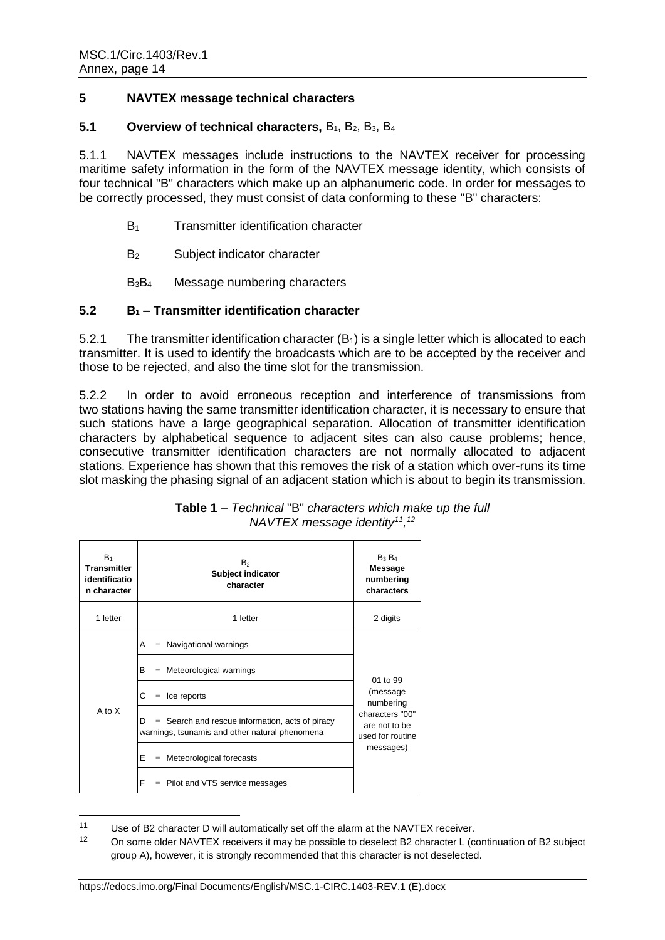## **5 NAVTEX message technical characters**

### **5.1 Overview of technical characters, B<sub>1</sub>, B<sub>2</sub>, B<sub>3</sub>, B<sub>4</sub>**

5.1.1 NAVTEX messages include instructions to the NAVTEX receiver for processing maritime safety information in the form of the NAVTEX message identity, which consists of four technical "B" characters which make up an alphanumeric code. In order for messages to be correctly processed, they must consist of data conforming to these "B" characters:

- B<sup>1</sup> Transmitter identification character
- B<sub>2</sub> Subject indicator character
- B3B<sup>4</sup> Message numbering characters

### **5.2 B<sup>1</sup> – Transmitter identification character**

5.2.1 The transmitter identification character  $(B_1)$  is a single letter which is allocated to each transmitter. It is used to identify the broadcasts which are to be accepted by the receiver and those to be rejected, and also the time slot for the transmission.

5.2.2 In order to avoid erroneous reception and interference of transmissions from two stations having the same transmitter identification character, it is necessary to ensure that such stations have a large geographical separation. Allocation of transmitter identification characters by alphabetical sequence to adjacent sites can also cause problems; hence, consecutive transmitter identification characters are not normally allocated to adjacent stations. Experience has shown that this removes the risk of a station which over-runs its time slot masking the phasing signal of an adjacent station which is about to begin its transmission.

| $B_1$<br><b>Transmitter</b><br>identificatio<br>n character | B <sub>2</sub><br>Subject indicator<br>character                                                         | $B_3B_4$<br>Message<br>numbering<br>characters       |  |
|-------------------------------------------------------------|----------------------------------------------------------------------------------------------------------|------------------------------------------------------|--|
| 1 letter                                                    | 1 letter                                                                                                 | 2 digits                                             |  |
|                                                             | Navigational warnings<br>A<br>$=$                                                                        | 01 to 99                                             |  |
|                                                             | B<br>Meteorological warnings<br>$\qquad \qquad =$                                                        |                                                      |  |
|                                                             | С<br>Ice reports<br>$\qquad \qquad =$                                                                    | (message<br>numbering                                |  |
| A to X                                                      | $=$ Search and rescue information, acts of piracy<br>D<br>warnings, tsunamis and other natural phenomena | characters "00"<br>are not to be<br>used for routine |  |
|                                                             | E<br>$=$ Meteorological forecasts                                                                        | messages)                                            |  |
|                                                             | F<br>$=$ Pilot and VTS service messages                                                                  |                                                      |  |

### **Table 1** *– Technical* "B" *characters which make up the full NAVTEX message identity<sup>11</sup> , 12*

 $11$ Use of B2 character D will automatically set off the alarm at the NAVTEX receiver.

<sup>&</sup>lt;sup>12</sup> On some older NAVTEX receivers it may be possible to deselect B2 character L (continuation of B2 subject group A), however, it is strongly recommended that this character is not deselected.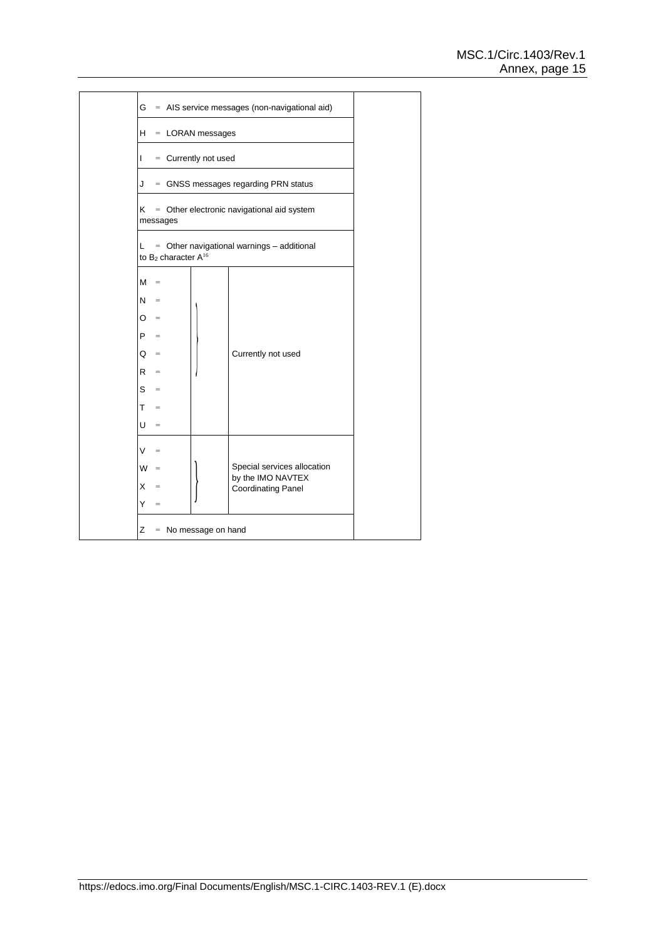| Н.<br>$=$ LORAN messages |                                   |                             |                      |                                                  |  |  |  |  |
|--------------------------|-----------------------------------|-----------------------------|----------------------|--------------------------------------------------|--|--|--|--|
| L                        |                                   |                             | = Currently not used |                                                  |  |  |  |  |
| J                        |                                   |                             |                      | = GNSS messages regarding PRN status             |  |  |  |  |
| K.                       |                                   | messages                    |                      | = Other electronic navigational aid system       |  |  |  |  |
| L.                       |                                   | to $B_2$ character $A^{16}$ |                      | $=$ Other navigational warnings $-$ additional   |  |  |  |  |
| м                        | $=$                               |                             |                      |                                                  |  |  |  |  |
| N.                       | $\hspace{1.6cm} = \hspace{1.6cm}$ |                             |                      |                                                  |  |  |  |  |
| O                        | $=$                               |                             |                      |                                                  |  |  |  |  |
| P                        | $\equiv$                          |                             |                      |                                                  |  |  |  |  |
| O                        | $=$                               |                             |                      | Currently not used                               |  |  |  |  |
| R                        | $\qquad \qquad =$                 |                             |                      |                                                  |  |  |  |  |
| $S =$                    |                                   |                             |                      |                                                  |  |  |  |  |
| T.                       | $=$                               |                             |                      |                                                  |  |  |  |  |
| U                        | $\hspace{1.0cm} = \hspace{1.0cm}$ |                             |                      |                                                  |  |  |  |  |
| V                        | $=$                               |                             |                      |                                                  |  |  |  |  |
| W                        | $=$                               |                             |                      | Special services allocation<br>by the IMO NAVTEX |  |  |  |  |
|                          | $\qquad \qquad =$                 |                             |                      | <b>Coordinating Panel</b>                        |  |  |  |  |
| X.                       |                                   |                             |                      |                                                  |  |  |  |  |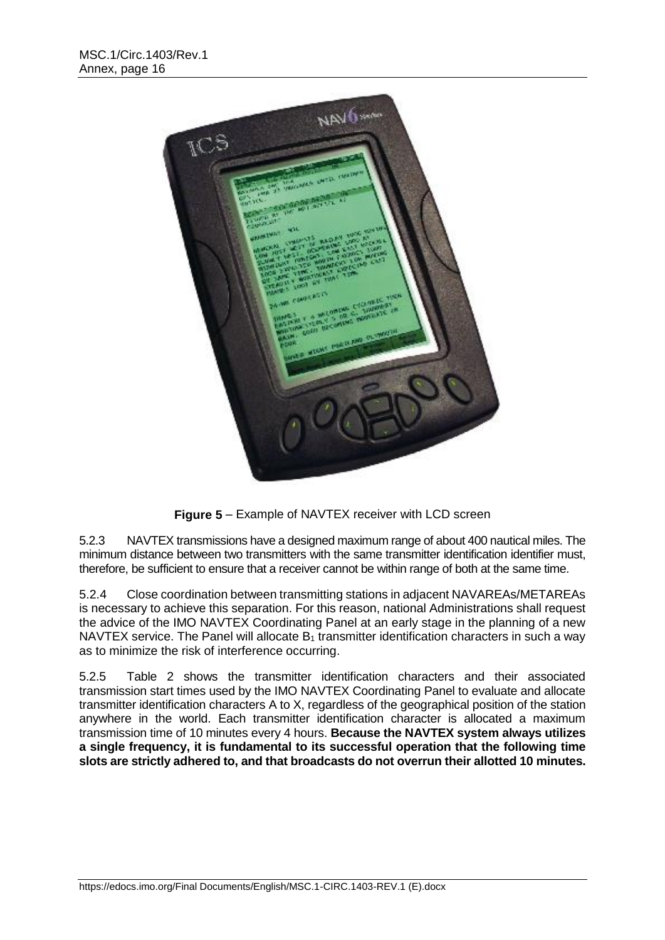

**Figure 5** *–* Example of NAVTEX receiver with LCD screen

5.2.3 NAVTEX transmissions have a designed maximum range of about 400 nautical miles. The minimum distance between two transmitters with the same transmitter identification identifier must, therefore, be sufficient to ensure that a receiver cannot be within range of both at the same time.

5.2.4 Close coordination between transmitting stations in adjacent NAVAREAs/METAREAs is necessary to achieve this separation. For this reason, national Administrations shall request the advice of the IMO NAVTEX Coordinating Panel at an early stage in the planning of a new NAVTEX service. The Panel will allocate  $B_1$  transmitter identification characters in such a way as to minimize the risk of interference occurring.

5.2.5 Table 2 shows the transmitter identification characters and their associated transmission start times used by the IMO NAVTEX Coordinating Panel to evaluate and allocate transmitter identification characters A to X, regardless of the geographical position of the station anywhere in the world. Each transmitter identification character is allocated a maximum transmission time of 10 minutes every 4 hours. **Because the NAVTEX system always utilizes a single frequency, it is fundamental to its successful operation that the following time slots are strictly adhered to, and that broadcasts do not overrun their allotted 10 minutes.**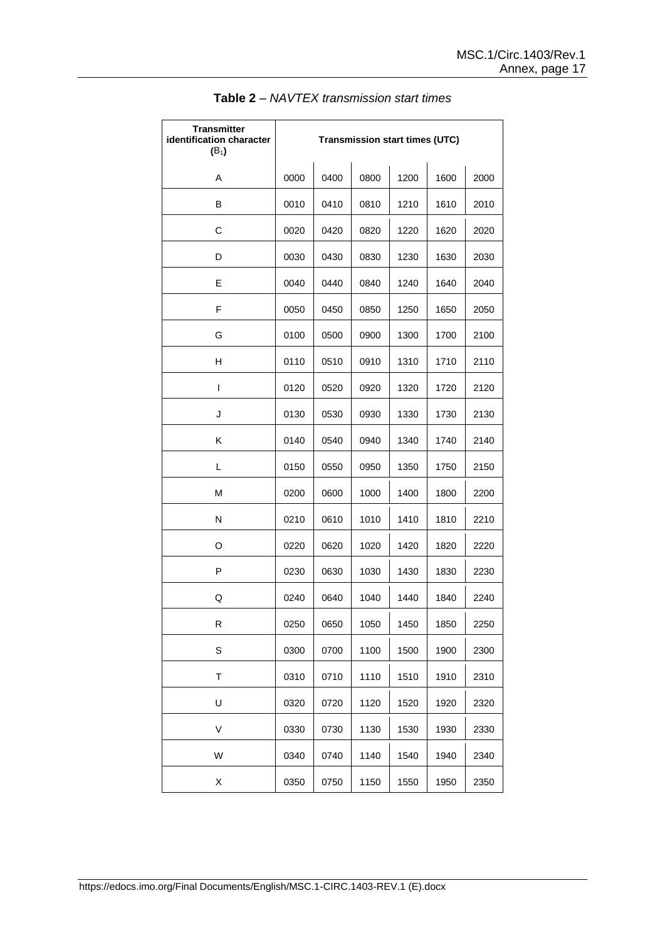| <b>Transmitter</b><br>identification character<br>$(B_1)$ | <b>Transmission start times (UTC)</b> |      |      |      |      |      |  |
|-----------------------------------------------------------|---------------------------------------|------|------|------|------|------|--|
| A                                                         | 0000                                  | 0400 | 0800 | 1200 | 1600 | 2000 |  |
| в                                                         | 0010                                  | 0410 | 0810 | 1210 | 1610 | 2010 |  |
| С                                                         | 0020                                  | 0420 | 0820 | 1220 | 1620 | 2020 |  |
| D                                                         | 0030                                  | 0430 | 0830 | 1230 | 1630 | 2030 |  |
| E                                                         | 0040                                  | 0440 | 0840 | 1240 | 1640 | 2040 |  |
| F                                                         | 0050                                  | 0450 | 0850 | 1250 | 1650 | 2050 |  |
| G                                                         | 0100                                  | 0500 | 0900 | 1300 | 1700 | 2100 |  |
| н                                                         | 0110                                  | 0510 | 0910 | 1310 | 1710 | 2110 |  |
| I                                                         | 0120                                  | 0520 | 0920 | 1320 | 1720 | 2120 |  |
| J                                                         | 0130                                  | 0530 | 0930 | 1330 | 1730 | 2130 |  |
| K                                                         | 0140                                  | 0540 | 0940 | 1340 | 1740 | 2140 |  |
| L                                                         | 0150                                  | 0550 | 0950 | 1350 | 1750 | 2150 |  |
| M                                                         | 0200                                  | 0600 | 1000 | 1400 | 1800 | 2200 |  |
| N                                                         | 0210                                  | 0610 | 1010 | 1410 | 1810 | 2210 |  |
| O                                                         | 0220                                  | 0620 | 1020 | 1420 | 1820 | 2220 |  |
| P                                                         | 0230                                  | 0630 | 1030 | 1430 | 1830 | 2230 |  |
| Q                                                         | 0240                                  | 0640 | 1040 | 1440 | 1840 | 2240 |  |
| R                                                         | 0250                                  | 0650 | 1050 | 1450 | 1850 | 2250 |  |
| S                                                         | 0300                                  | 0700 | 1100 | 1500 | 1900 | 2300 |  |
| T                                                         | 0310                                  | 0710 | 1110 | 1510 | 1910 | 2310 |  |
| U                                                         | 0320                                  | 0720 | 1120 | 1520 | 1920 | 2320 |  |
| V                                                         | 0330                                  | 0730 | 1130 | 1530 | 1930 | 2330 |  |
| W                                                         | 0340                                  | 0740 | 1140 | 1540 | 1940 | 2340 |  |
| Χ                                                         | 0350                                  | 0750 | 1150 | 1550 | 1950 | 2350 |  |

**Table 2** *– NAVTEX transmission start times*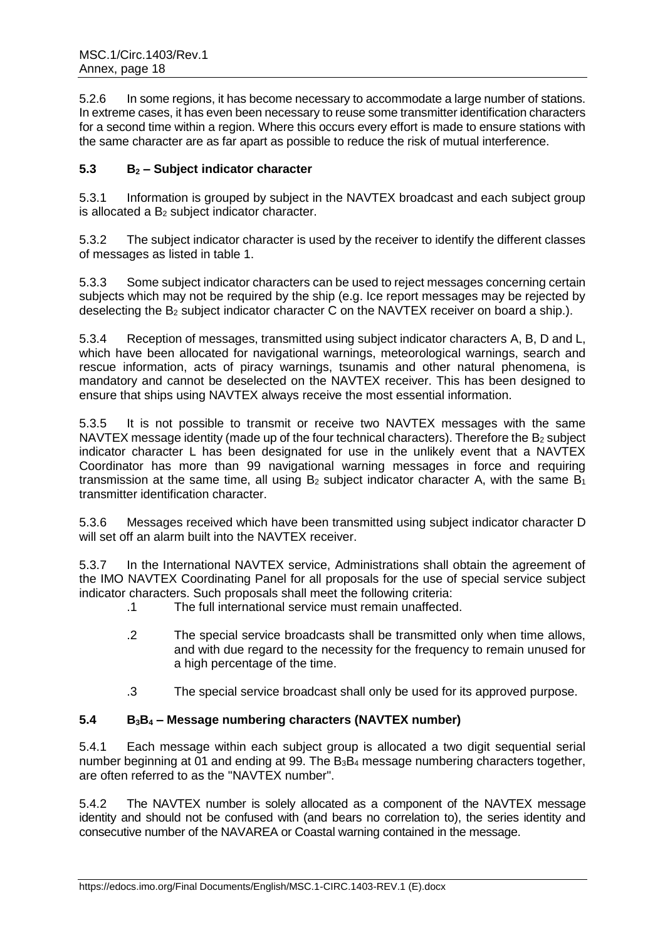5.2.6 In some regions, it has become necessary to accommodate a large number of stations. In extreme cases, it has even been necessary to reuse some transmitter identification characters for a second time within a region. Where this occurs every effort is made to ensure stations with the same character are as far apart as possible to reduce the risk of mutual interference.

# **5.3 B<sup>2</sup> – Subject indicator character**

5.3.1 Information is grouped by subject in the NAVTEX broadcast and each subject group is allocated a  $B_2$  subject indicator character.

5.3.2 The subject indicator character is used by the receiver to identify the different classes of messages as listed in table 1.

5.3.3 Some subject indicator characters can be used to reject messages concerning certain subjects which may not be required by the ship (e.g. Ice report messages may be rejected by deselecting the  $B_2$  subject indicator character C on the NAVTEX receiver on board a ship.).

5.3.4 Reception of messages, transmitted using subject indicator characters A, B, D and L, which have been allocated for navigational warnings, meteorological warnings, search and rescue information, acts of piracy warnings, tsunamis and other natural phenomena, is mandatory and cannot be deselected on the NAVTEX receiver. This has been designed to ensure that ships using NAVTEX always receive the most essential information.

5.3.5 It is not possible to transmit or receive two NAVTEX messages with the same NAVTEX message identity (made up of the four technical characters). Therefore the  $B_2$  subject indicator character L has been designated for use in the unlikely event that a NAVTEX Coordinator has more than 99 navigational warning messages in force and requiring transmission at the same time, all using  $B_2$  subject indicator character A, with the same  $B_1$ transmitter identification character.

5.3.6 Messages received which have been transmitted using subject indicator character D will set off an alarm built into the NAVTEX receiver.

5.3.7 In the International NAVTEX service, Administrations shall obtain the agreement of the IMO NAVTEX Coordinating Panel for all proposals for the use of special service subject indicator characters. Such proposals shall meet the following criteria:

- .1 The full international service must remain unaffected.
- .2 The special service broadcasts shall be transmitted only when time allows, and with due regard to the necessity for the frequency to remain unused for a high percentage of the time.
- .3 The special service broadcast shall only be used for its approved purpose.

# **5.4 B3B<sup>4</sup> – Message numbering characters (NAVTEX number)**

5.4.1 Each message within each subject group is allocated a two digit sequential serial number beginning at 01 and ending at 99. The  $B_3B_4$  message numbering characters together, are often referred to as the "NAVTEX number".

5.4.2 The NAVTEX number is solely allocated as a component of the NAVTEX message identity and should not be confused with (and bears no correlation to), the series identity and consecutive number of the NAVAREA or Coastal warning contained in the message.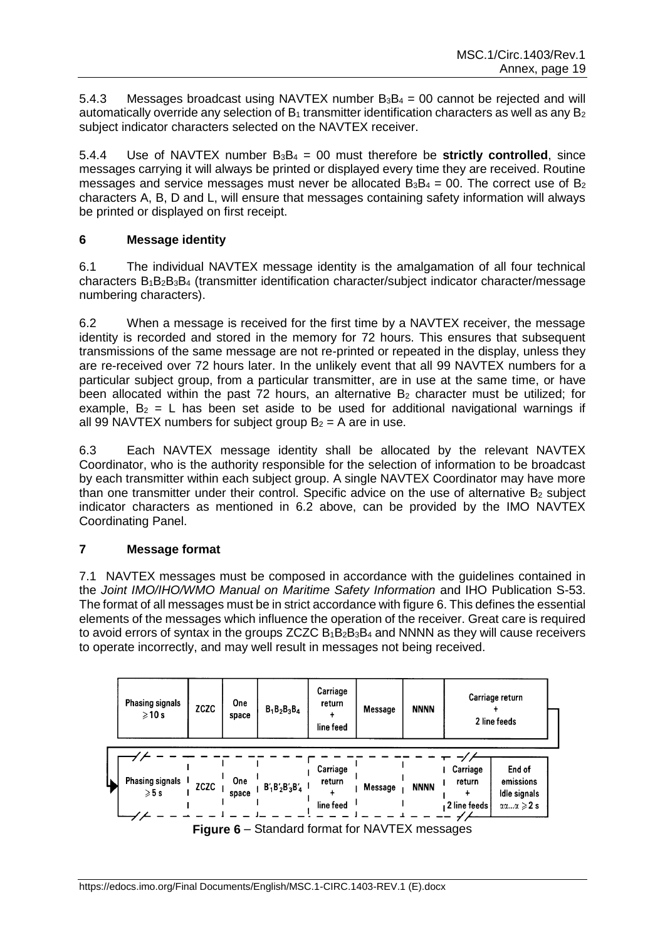5.4.3 Messages broadcast using NAVTEX number  $B_3B_4 = 00$  cannot be rejected and will automatically override any selection of  $B_1$  transmitter identification characters as well as any  $B_2$ subject indicator characters selected on the NAVTEX receiver.

5.4.4 Use of NAVTEX number B3B<sup>4</sup> = 00 must therefore be **strictly controlled**, since messages carrying it will always be printed or displayed every time they are received. Routine messages and service messages must never be allocated  $B_3B_4 = 00$ . The correct use of  $B_2$ characters A, B, D and L, will ensure that messages containing safety information will always be printed or displayed on first receipt.

# **6 Message identity**

6.1 The individual NAVTEX message identity is the amalgamation of all four technical characters B1B2B3B<sup>4</sup> (transmitter identification character/subject indicator character/message numbering characters).

6.2 When a message is received for the first time by a NAVTEX receiver, the message identity is recorded and stored in the memory for 72 hours. This ensures that subsequent transmissions of the same message are not re-printed or repeated in the display, unless they are re-received over 72 hours later. In the unlikely event that all 99 NAVTEX numbers for a particular subject group, from a particular transmitter, are in use at the same time, or have been allocated within the past 72 hours, an alternative  $B_2$  character must be utilized; for example,  $B_2 = L$  has been set aside to be used for additional navigational warnings if all 99 NAVTEX numbers for subject group  $B_2 = A$  are in use.

6.3 Each NAVTEX message identity shall be allocated by the relevant NAVTEX Coordinator, who is the authority responsible for the selection of information to be broadcast by each transmitter within each subject group. A single NAVTEX Coordinator may have more than one transmitter under their control. Specific advice on the use of alternative  $B<sub>2</sub>$  subject indicator characters as mentioned in 6.2 above, can be provided by the IMO NAVTEX Coordinating Panel.

# **7 Message format**

7.1 NAVTEX messages must be composed in accordance with the guidelines contained in the *Joint IMO/IHO/WMO Manual on Maritime Safety Information* and IHO Publication S-53. The format of all messages must be in strict accordance with figure 6. This defines the essential elements of the messages which influence the operation of the receiver. Great care is required to avoid errors of syntax in the groups ZCZC  $B_1B_2B_3B_4$  and NNNN as they will cause receivers to operate incorrectly, and may well result in messages not being received.



**Figure 6** *–* Standard format for NAVTEX messages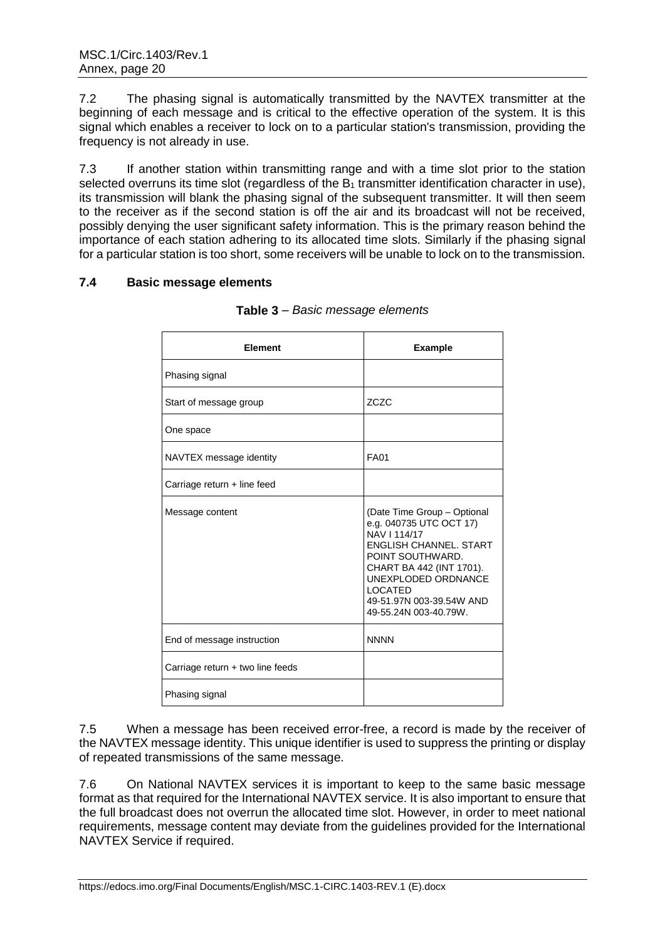7.2 The phasing signal is automatically transmitted by the NAVTEX transmitter at the beginning of each message and is critical to the effective operation of the system. It is this signal which enables a receiver to lock on to a particular station's transmission, providing the frequency is not already in use.

7.3 If another station within transmitting range and with a time slot prior to the station selected overruns its time slot (regardless of the  $B_1$  transmitter identification character in use). its transmission will blank the phasing signal of the subsequent transmitter. It will then seem to the receiver as if the second station is off the air and its broadcast will not be received, possibly denying the user significant safety information. This is the primary reason behind the importance of each station adhering to its allocated time slots. Similarly if the phasing signal for a particular station is too short, some receivers will be unable to lock on to the transmission.

# **7.4 Basic message elements**

| Element                          | <b>Example</b>                                                                                                                                                                                                                                        |
|----------------------------------|-------------------------------------------------------------------------------------------------------------------------------------------------------------------------------------------------------------------------------------------------------|
| Phasing signal                   |                                                                                                                                                                                                                                                       |
| Start of message group           | ZCZC                                                                                                                                                                                                                                                  |
| One space                        |                                                                                                                                                                                                                                                       |
| NAVTEX message identity          | <b>FA01</b>                                                                                                                                                                                                                                           |
| Carriage return + line feed      |                                                                                                                                                                                                                                                       |
| Message content                  | (Date Time Group - Optional<br>e.g. 040735 UTC OCT 17)<br>NAV I 114/17<br><b>FNGLISH CHANNEL, START</b><br>POINT SOUTHWARD.<br>CHART BA 442 (INT 1701).<br>UNEXPLODED ORDNANCE<br><b>LOCATED</b><br>49-51.97N 003-39.54W AND<br>49-55.24N 003-40.79W. |
| End of message instruction       | <b>NNNN</b>                                                                                                                                                                                                                                           |
| Carriage return + two line feeds |                                                                                                                                                                                                                                                       |
| Phasing signal                   |                                                                                                                                                                                                                                                       |

|  | Table 3 - Basic message elements |  |
|--|----------------------------------|--|
|--|----------------------------------|--|

7.5 When a message has been received error-free, a record is made by the receiver of the NAVTEX message identity. This unique identifier is used to suppress the printing or display of repeated transmissions of the same message.

7.6 On National NAVTEX services it is important to keep to the same basic message format as that required for the International NAVTEX service. It is also important to ensure that the full broadcast does not overrun the allocated time slot. However, in order to meet national requirements, message content may deviate from the guidelines provided for the International NAVTEX Service if required.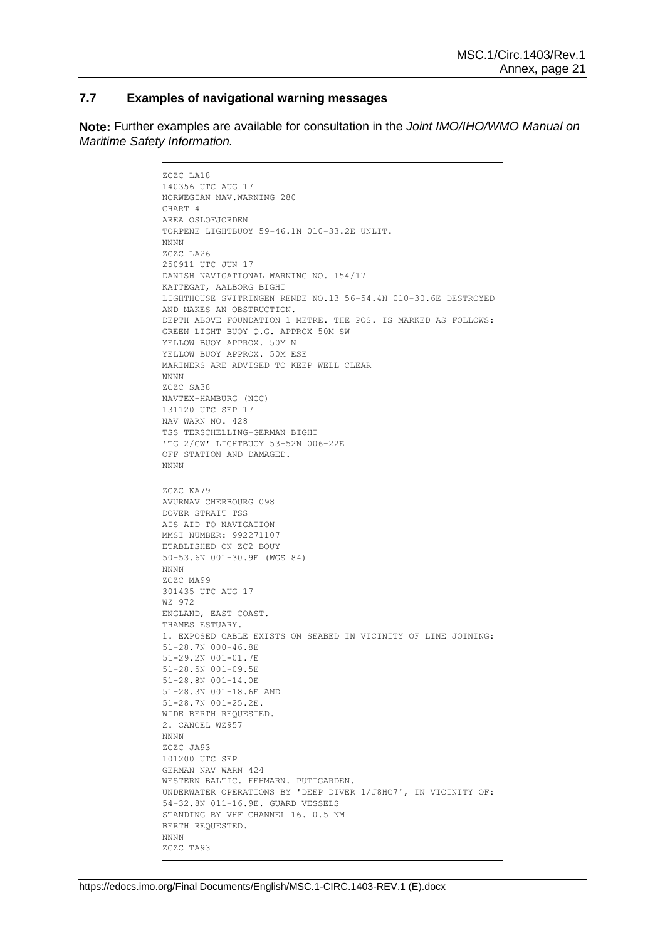#### **7.7 Examples of navigational warning messages**

**Note:** Further examples are available for consultation in the *Joint IMO/IHO/WMO Manual on Maritime Safety Information.*

> ZCZC LA18 140356 UTC AUG 17 NORWEGIAN NAV.WARNING 280 CHART 4 AREA OSLOFJORDEN TORPENE LIGHTBUOY 59-46.1N 010-33.2E UNLIT. NNNN ZCZC LA26 250911 UTC JUN 17 DANISH NAVIGATIONAL WARNING NO. 154/17 KATTEGAT, AALBORG BIGHT LIGHTHOUSE SVITRINGEN RENDE NO.13 56-54.4N 010-30.6E DESTROYED AND MAKES AN OBSTRUCTION. DEPTH ABOVE FOUNDATION 1 METRE. THE POS. IS MARKED AS FOLLOWS: GREEN LIGHT BUOY Q.G. APPROX 50M SW YELLOW BUOY APPROX. 50M N YELLOW BUOY APPROX. 50M ESE MARINERS ARE ADVISED TO KEEP WELL CLEAR NNNN ZCZC SA38 NAVTEX-HAMBURG (NCC) 131120 UTC SEP 17 NAV WARN NO. 428 TSS TERSCHELLING-GERMAN BIGHT 'TG 2/GW' LIGHTBUOY 53-52N 006-22E OFF STATION AND DAMAGED. NNNN ZCZC KA79 AVURNAV CHERBOURG 098 DOVER STRAIT TSS AIS AID TO NAVIGATION MMSI NUMBER: 992271107 ETABLISHED ON ZC2 BOUY 50-53.6N 001-30.9E (WGS 84) NNNN ZCZC MA99 301435 UTC AUG 17 WZ 972 ENGLAND, EAST COAST. THAMES ESTUARY 1. EXPOSED CABLE EXISTS ON SEABED IN VICINITY OF LINE JOINING: 51-28.7N 000-46.8E 51-29.2N 001-01.7E 51-28.5N 001-09.5E 51-28.8N 001-14.0E 51-28.3N 001-18.6E AND 51-28.7N 001-25.2E. WIDE BERTH REQUESTED. 2. CANCEL WZ957 NNNN ZCZC JA93 101200 UTC SEP GERMAN NAV WARN 424 WESTERN BALTIC. FEHMARN. PUTTGARDEN. UNDERWATER OPERATIONS BY 'DEEP DIVER 1/J8HC7', IN VICINITY OF: 54-32.8N 011-16.9E. GUARD VESSELS STANDING BY VHF CHANNEL 16. 0.5 NM BERTH REQUESTED. NNNN ZCZC TA93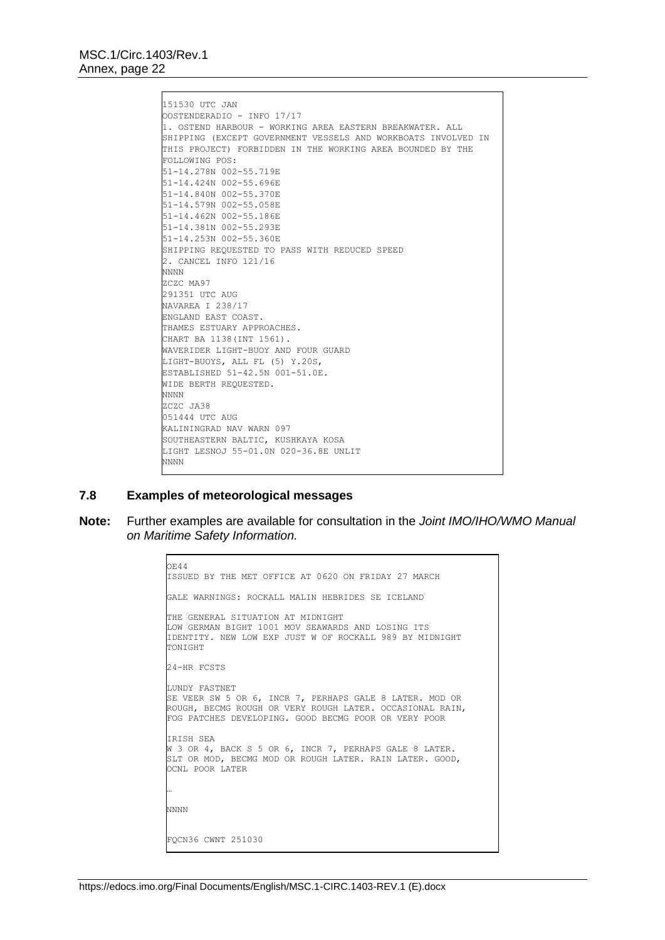151530 UTC JAN OOSTENDERADIO - INFO 17/17 1. OSTEND HARBOUR - WORKING AREA EASTERN BREAKWATER. ALL SHIPPING (EXCEPT GOVERNMENT VESSELS AND WORKBOATS INVOLVED IN THIS PROJECT) FORBIDDEN IN THE WORKING AREA BOUNDED BY THE FOLLOWING POS: 51-14.278N 002-55.719E 51-14.424N 002-55.696E 51-14.840N 002-55.370E 51-14.579N 002-55.058E 51-14.462N 002-55.186E 51-14.381N 002-55.293E 51-14.253N 002-55.360E SHIPPING REQUESTED TO PASS WITH REDUCED SPEED 2. CANCEL INFO 121/16 NNNN ZCZC MA97 291351 UTC AUG NAVAREA I 238/17 ENGLAND EAST COAST. THAMES ESTUARY APPROACHES. CHART BA 1138(INT 1561). WAVERIDER LIGHT-BUOY AND FOUR GUARD LIGHT-BUOYS, ALL FL (5) Y.20S, ESTABLISHED 51-42.5N 001-51.0E. WIDE BERTH REQUESTED. NNNN ZCZC JA38 051444 UTC AUG KALININGRAD NAV WARN 097 SOUTHEASTERN BALTIC, KUSHKAYA KOSA LIGHT LESNOJ 55-01.0N 020-36.8E UNLIT NNNN

### **7.8 Examples of meteorological messages**

**Note:** Further examples are available for consultation in the *Joint IMO/IHO/WMO Manual on Maritime Safety Information.*

```
OE44
ISSUED BY THE MET OFFICE AT 0620 ON FRIDAY 27 MARCH
GALE WARNINGS: ROCKALL MALIN HEBRIDES SE ICELAND
THE GENERAL SITUATION AT MIDNIGHT
LOW GERMAN BIGHT 1001 MOV SEAWARDS AND LOSING ITS
IDENTITY. NEW LOW EXP JUST W OF ROCKALL 989 BY MIDNIGHT
TONIGHT
24-HR FCSTS
LUNDY FASTNET
SE VEER SW 5 OR 6, INCR 7, PERHAPS GALE 8 LATER. MOD OR
ROUGH, BECMG ROUGH OR VERY ROUGH LATER. OCCASIONAL RAIN,
FOG PATCHES DEVELOPING. GOOD BECMG POOR OR VERY POOR
IRISH SEA
W 3 OR 4, BACK S 5 OR 6, INCR 7, PERHAPS GALE 8 LATER.
SLT OR MOD, BECMG MOD OR ROUGH LATER. RAIN LATER. GOOD,
OCNL POOR LATER
…
NNNN
FQCN36 CWNT 251030
```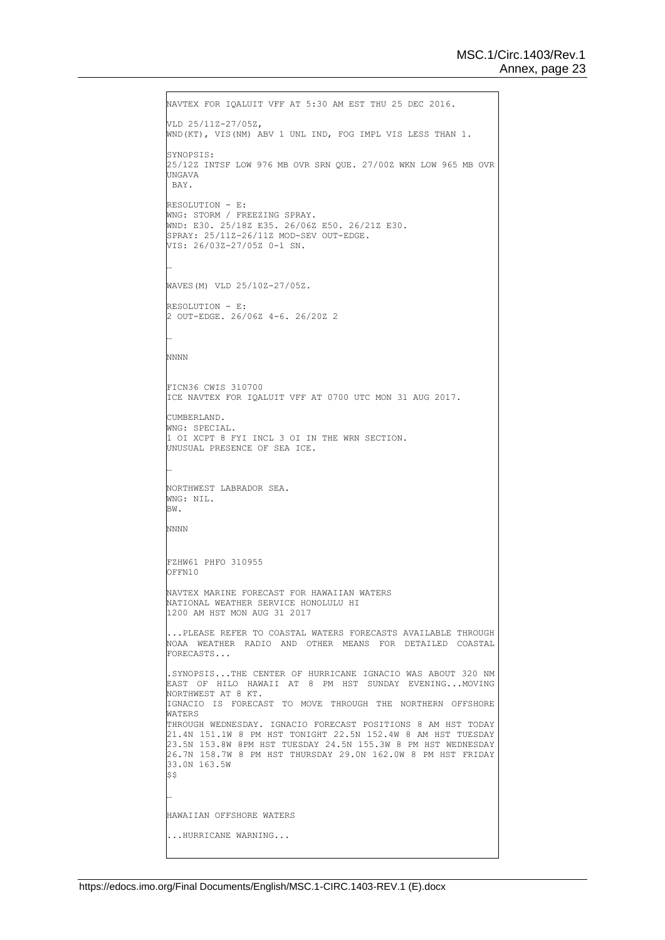```
NAVTEX FOR IQALUIT VFF AT 5:30 AM EST THU 25 DEC 2016.
VLD 25/11Z-27/05Z,
WND(KT), VIS(NM) ABV 1 UNL IND, FOG IMPL VIS LESS THAN 1.
SYNOPSIS:
25/12Z INTSF LOW 976 MB OVR SRN QUE. 27/00Z WKN LOW 965 MB OVR 
UNGAVA
BAY.
RRESOLUTION - R.
WNG: STORM / FREEZING SPRAY.
WND: E30. 25/18Z E35. 26/06Z E50. 26/21Z E30.
SPRAY: 25/11Z-26/11Z MOD-SEV OUT-EDGE.
VIS: 26/03Z-27/05Z 0-1 SN.
…
WAVES(M) VLD 25/10Z-27/05Z.
RESOLUTION - E:
2 OUT-EDGE. 26/06Z 4-6. 26/20Z 2
…
NNNN
FICN36 CWIS 310700
ICE NAVTEX FOR IQALUIT VFF AT 0700 UTC MON 31 AUG 2017.
CUMBERLAND.
WNG: SPECIAL.
1 OI XCPT 8 FYI INCL 3 OI IN THE WRN SECTION.
UNUSUAL PRESENCE OF SEA ICE.
…
NORTHWEST LABRADOR SEA.
WNG: NIL.
BW.
NNNN
FZHW61 PHFO 310955
OFFN10
NAVTEX MARINE FORECAST FOR HAWAIIAN WATERS
NATIONAL WEATHER SERVICE HONOLULU HI
1200 AM HST MON AUG 31 2017
 ...PLEASE REFER TO COASTAL WATERS FORECASTS AVAILABLE THROUGH 
NOAA WEATHER RADIO AND OTHER MEANS FOR DETAILED COASTAL 
FORECASTS...
.SYNOPSIS...THE CENTER OF HURRICANE IGNACIO WAS ABOUT 320 NM 
EAST OF HILO HAWAII AT 8 PM HST SUNDAY EVENING...MOVING 
NORTHWEST AT 8 KT.
IGNACIO IS FORECAST TO MOVE THROUGH THE NORTHERN OFFSHORE 
WATERS
THROUGH WEDNESDAY. IGNACIO FORECAST POSITIONS 8 AM HST TODAY 
21.4N 151.1W 8 PM HST TONIGHT 22.5N 152.4W 8 AM HST TUESDAY 
23.5N 153.8W 8PM HST TUESDAY 24.5N 155.3W 8 PM HST WEDNESDAY 
26.7N 158.7W 8 PM HST THURSDAY 29.0N 162.0W 8 PM HST FRIDAY 
33.0N 163.5W 
$$
…
HAWAIIAN OFFSHORE WATERS
...HURRICANE WARNING...
```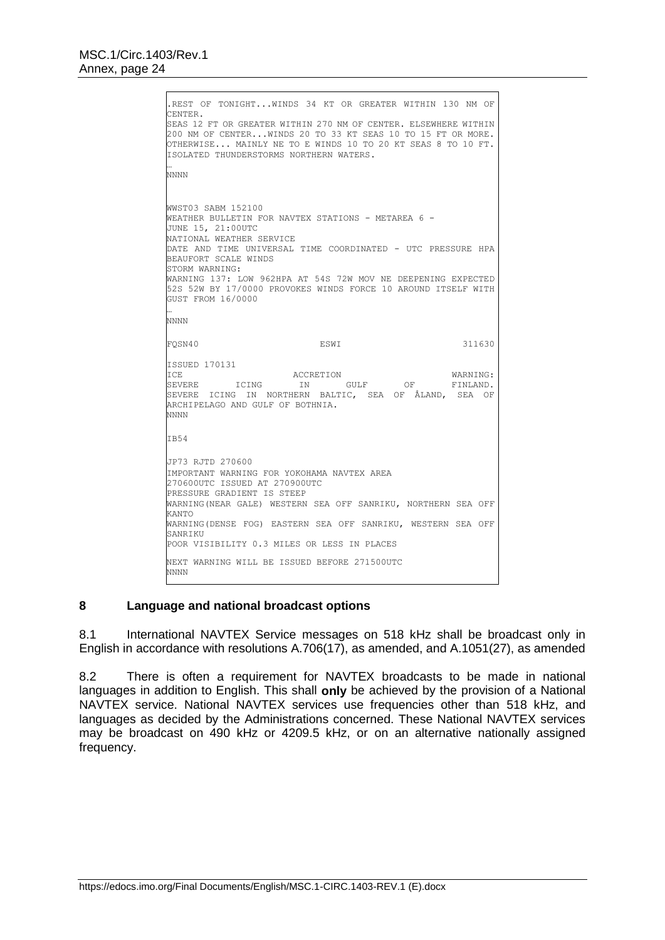```
.REST OF TONIGHT...WINDS 34 KT OR GREATER WITHIN 130 NM OF 
CENTER. 
SEAS 12 FT OR GREATER WITHIN 270 NM OF CENTER. ELSEWHERE WITHIN 
200 NM OF CENTER...WINDS 20 TO 33 KT SEAS 10 TO 15 FT OR MORE. 
OTHERWISE... MAINLY NE TO E WINDS 10 TO 20 KT SEAS 8 TO 10 FT.
ISOLATED THUNDERSTORMS NORTHERN WATERS.
…
NNNN
WWST03 SABM 152100 
WEATHER BULLETIN FOR NAVTEX STATIONS - METAREA 6 -
JUNE 15, 21:00UTC 
NATIONAL WEATHER SERVICE 
DATE AND TIME UNIVERSAL TIME COORDINATED - UTC PRESSURE HPA 
BEAUFORT SCALE WINDS 
STORM WARNING: 
WARNING 137: LOW 962HPA AT 54S 72W MOV NE DEEPENING EXPECTED 
52S 52W BY 17/0000 PROVOKES WINDS FORCE 10 AROUND ITSELF WITH 
GUST FROM 16/0000 
…
NNNN
FQSN40 ESWI ESWI 311630
ISSUED 170131
ICE <br>SEVERE ICING IN GULF OF FINLAND.<br>THE CERN OF STAND OF STAND OF A SERIES
                      IN GULF
SEVERE ICING IN NORTHERN BALTIC, SEA OF ÅLAND, SEA OF 
ARCHIPELAGO AND GULF OF BOTHNIA.
NNNN
IB54
JP73 RJTD 270600
IMPORTANT WARNING FOR YOKOHAMA NAVTEX AREA
270600UTC ISSUED AT 270900UTC
PRESSURE GRADIENT IS STEEP
WARNING(NEAR GALE) WESTERN SEA OFF SANRIKU, NORTHERN SEA OFF 
KANTO
WARNING(DENSE FOG) EASTERN SEA OFF SANRIKU, WESTERN SEA OFF 
SANRIKU
POOR VISIBILITY 0.3 MILES OR LESS IN PLACES
NEXT WARNING WILL BE ISSUED BEFORE 271500UTC
NNNN
```
## **8 Language and national broadcast options**

8.1 International NAVTEX Service messages on 518 kHz shall be broadcast only in English in accordance with resolutions A.706(17), as amended, and A.1051(27), as amended

8.2 There is often a requirement for NAVTEX broadcasts to be made in national languages in addition to English. This shall **only** be achieved by the provision of a National NAVTEX service. National NAVTEX services use frequencies other than 518 kHz, and languages as decided by the Administrations concerned. These National NAVTEX services may be broadcast on 490 kHz or 4209.5 kHz, or on an alternative nationally assigned frequency.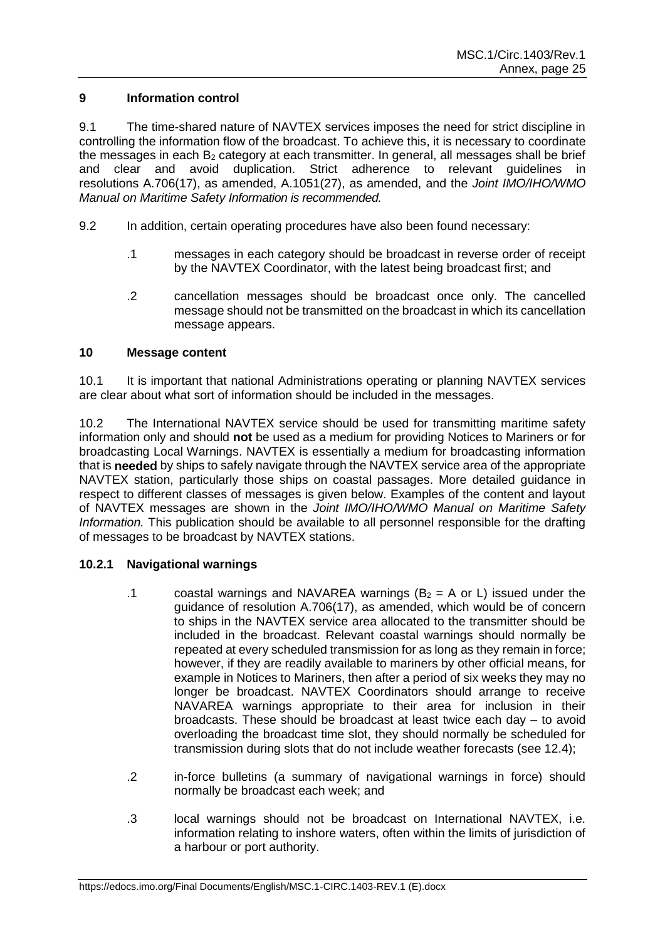## **9 Information control**

9.1 The time-shared nature of NAVTEX services imposes the need for strict discipline in controlling the information flow of the broadcast. To achieve this, it is necessary to coordinate the messages in each  $B_2$  category at each transmitter. In general, all messages shall be brief and clear and avoid duplication. Strict adherence to relevant guidelines in resolutions A.706(17), as amended, A.1051(27), as amended, and the *Joint IMO/IHO/WMO Manual on Maritime Safety Information is recommended.*

- 9.2 In addition, certain operating procedures have also been found necessary:
	- .1 messages in each category should be broadcast in reverse order of receipt by the NAVTEX Coordinator, with the latest being broadcast first; and
	- .2 cancellation messages should be broadcast once only. The cancelled message should not be transmitted on the broadcast in which its cancellation message appears.

## **10 Message content**

10.1 It is important that national Administrations operating or planning NAVTEX services are clear about what sort of information should be included in the messages.

10.2 The International NAVTEX service should be used for transmitting maritime safety information only and should **not** be used as a medium for providing Notices to Mariners or for broadcasting Local Warnings. NAVTEX is essentially a medium for broadcasting information that is **needed** by ships to safely navigate through the NAVTEX service area of the appropriate NAVTEX station, particularly those ships on coastal passages. More detailed guidance in respect to different classes of messages is given below. Examples of the content and layout of NAVTEX messages are shown in the *Joint IMO/IHO/WMO Manual on Maritime Safety Information.* This publication should be available to all personnel responsible for the drafting of messages to be broadcast by NAVTEX stations.

## **10.2.1 Navigational warnings**

- .1 coastal warnings and NAVAREA warnings ( $B_2 = A$  or L) issued under the guidance of resolution A.706(17), as amended, which would be of concern to ships in the NAVTEX service area allocated to the transmitter should be included in the broadcast. Relevant coastal warnings should normally be repeated at every scheduled transmission for as long as they remain in force; however, if they are readily available to mariners by other official means, for example in Notices to Mariners, then after a period of six weeks they may no longer be broadcast. NAVTEX Coordinators should arrange to receive NAVAREA warnings appropriate to their area for inclusion in their broadcasts. These should be broadcast at least twice each day – to avoid overloading the broadcast time slot, they should normally be scheduled for transmission during slots that do not include weather forecasts (see 12.4);
- .2 in-force bulletins (a summary of navigational warnings in force) should normally be broadcast each week; and
- .3 local warnings should not be broadcast on International NAVTEX, i.e. information relating to inshore waters, often within the limits of jurisdiction of a harbour or port authority.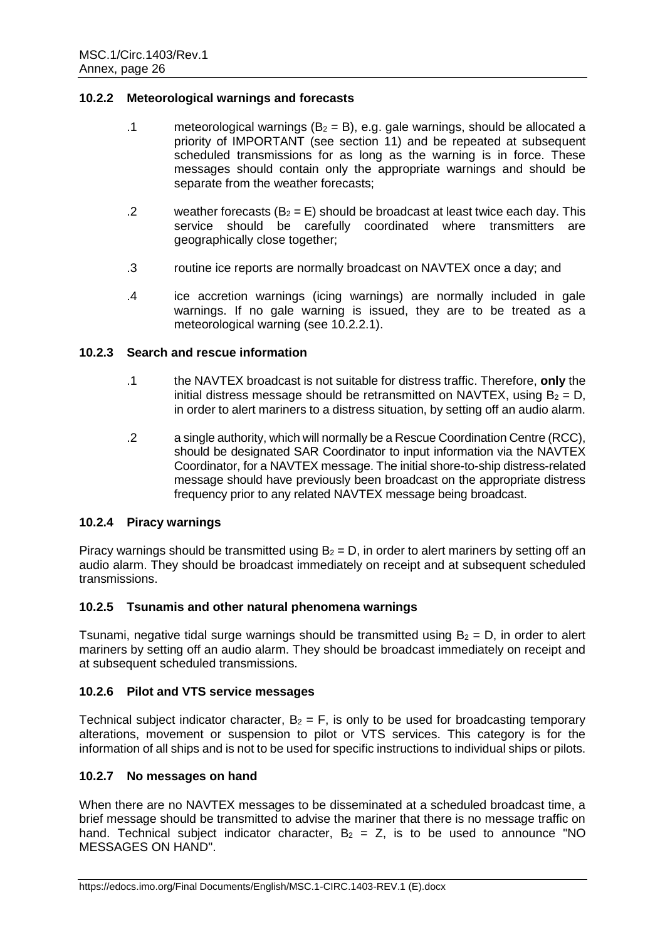### **10.2.2 Meteorological warnings and forecasts**

- .1 meteorological warnings ( $B_2 = B$ ), e.g. gale warnings, should be allocated a priority of IMPORTANT (see section 11) and be repeated at subsequent scheduled transmissions for as long as the warning is in force. These messages should contain only the appropriate warnings and should be separate from the weather forecasts;
- .2 weather forecasts  $(B_2 = E)$  should be broadcast at least twice each day. This service should be carefully coordinated where transmitters are geographically close together;
- .3 routine ice reports are normally broadcast on NAVTEX once a day; and
- .4 ice accretion warnings (icing warnings) are normally included in gale warnings. If no gale warning is issued, they are to be treated as a meteorological warning (see 10.2.2.1).

### **10.2.3 Search and rescue information**

- .1 the NAVTEX broadcast is not suitable for distress traffic. Therefore, **only** the initial distress message should be retransmitted on NAVTEX, using  $B_2 = D$ . in order to alert mariners to a distress situation, by setting off an audio alarm.
- .2 a single authority, which will normally be a Rescue Coordination Centre (RCC), should be designated SAR Coordinator to input information via the NAVTEX Coordinator, for a NAVTEX message. The initial shore-to-ship distress-related message should have previously been broadcast on the appropriate distress frequency prior to any related NAVTEX message being broadcast.

## **10.2.4 Piracy warnings**

Piracy warnings should be transmitted using  $B_2 = D$ , in order to alert mariners by setting off an audio alarm. They should be broadcast immediately on receipt and at subsequent scheduled transmissions.

## **10.2.5 Tsunamis and other natural phenomena warnings**

Tsunami, negative tidal surge warnings should be transmitted using  $B_2 = D$ , in order to alert mariners by setting off an audio alarm. They should be broadcast immediately on receipt and at subsequent scheduled transmissions.

## **10.2.6 Pilot and VTS service messages**

Technical subject indicator character,  $B_2 = F$ , is only to be used for broadcasting temporary alterations, movement or suspension to pilot or VTS services. This category is for the information of all ships and is not to be used for specific instructions to individual ships or pilots.

## **10.2.7 No messages on hand**

When there are no NAVTEX messages to be disseminated at a scheduled broadcast time, a brief message should be transmitted to advise the mariner that there is no message traffic on hand. Technical subject indicator character,  $B_2 = Z$ , is to be used to announce "NO MESSAGES ON HAND".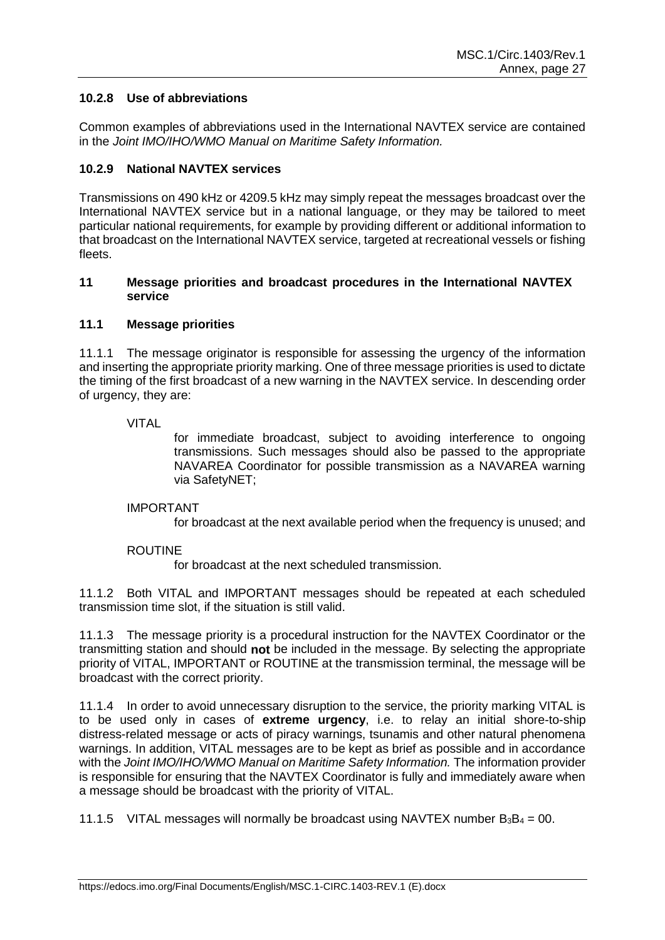## **10.2.8 Use of abbreviations**

Common examples of abbreviations used in the International NAVTEX service are contained in the *Joint IMO/IHO/WMO Manual on Maritime Safety Information.*

## **10.2.9 National NAVTEX services**

Transmissions on 490 kHz or 4209.5 kHz may simply repeat the messages broadcast over the International NAVTEX service but in a national language, or they may be tailored to meet particular national requirements, for example by providing different or additional information to that broadcast on the International NAVTEX service, targeted at recreational vessels or fishing fleets.

### **11 Message priorities and broadcast procedures in the International NAVTEX service**

### **11.1 Message priorities**

11.1.1 The message originator is responsible for assessing the urgency of the information and inserting the appropriate priority marking. One of three message priorities is used to dictate the timing of the first broadcast of a new warning in the NAVTEX service. In descending order of urgency, they are:

### VITAL

for immediate broadcast, subject to avoiding interference to ongoing transmissions. Such messages should also be passed to the appropriate NAVAREA Coordinator for possible transmission as a NAVAREA warning via SafetyNET;

#### IMPORTANT

for broadcast at the next available period when the frequency is unused; and

## ROUTINE

for broadcast at the next scheduled transmission.

11.1.2 Both VITAL and IMPORTANT messages should be repeated at each scheduled transmission time slot, if the situation is still valid.

11.1.3 The message priority is a procedural instruction for the NAVTEX Coordinator or the transmitting station and should **not** be included in the message. By selecting the appropriate priority of VITAL, IMPORTANT or ROUTINE at the transmission terminal, the message will be broadcast with the correct priority.

11.1.4 In order to avoid unnecessary disruption to the service, the priority marking VITAL is to be used only in cases of **extreme urgency**, i.e. to relay an initial shore-to-ship distress-related message or acts of piracy warnings, tsunamis and other natural phenomena warnings. In addition, VITAL messages are to be kept as brief as possible and in accordance with the *Joint IMO/IHO/WMO Manual on Maritime Safety Information.* The information provider is responsible for ensuring that the NAVTEX Coordinator is fully and immediately aware when a message should be broadcast with the priority of VITAL.

11.1.5 VITAL messages will normally be broadcast using NAVTEX number  $B_3B_4 = 00$ .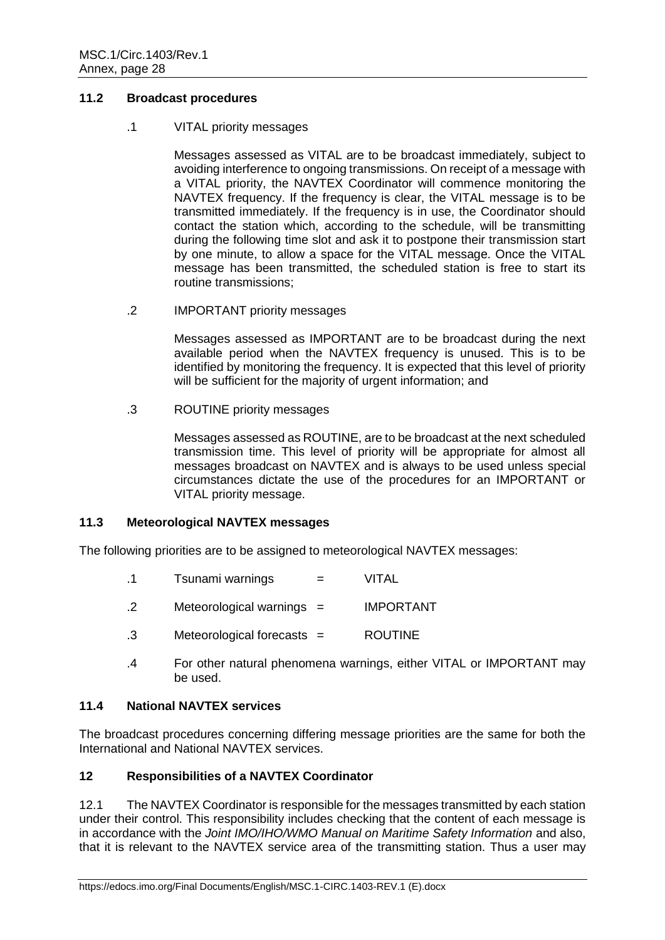## **11.2 Broadcast procedures**

#### .1 VITAL priority messages

Messages assessed as VITAL are to be broadcast immediately, subject to avoiding interference to ongoing transmissions. On receipt of a message with a VITAL priority, the NAVTEX Coordinator will commence monitoring the NAVTEX frequency. If the frequency is clear, the VITAL message is to be transmitted immediately. If the frequency is in use, the Coordinator should contact the station which, according to the schedule, will be transmitting during the following time slot and ask it to postpone their transmission start by one minute, to allow a space for the VITAL message. Once the VITAL message has been transmitted, the scheduled station is free to start its routine transmissions;

.2 IMPORTANT priority messages

Messages assessed as IMPORTANT are to be broadcast during the next available period when the NAVTEX frequency is unused. This is to be identified by monitoring the frequency. It is expected that this level of priority will be sufficient for the majority of urgent information; and

.3 ROUTINE priority messages

Messages assessed as ROUTINE, are to be broadcast at the next scheduled transmission time. This level of priority will be appropriate for almost all messages broadcast on NAVTEX and is always to be used unless special circumstances dictate the use of the procedures for an IMPORTANT or VITAL priority message.

## **11.3 Meteorological NAVTEX messages**

The following priorities are to be assigned to meteorological NAVTEX messages:

- .1 Tsunami warnings = VITAL
- .2 Meteorological warnings = IMPORTANT
- .3 Meteorological forecasts = ROUTINE
- .4 For other natural phenomena warnings, either VITAL or IMPORTANT may be used.

## **11.4 National NAVTEX services**

The broadcast procedures concerning differing message priorities are the same for both the International and National NAVTEX services.

### **12 Responsibilities of a NAVTEX Coordinator**

12.1 The NAVTEX Coordinator is responsible for the messages transmitted by each station under their control. This responsibility includes checking that the content of each message is in accordance with the *Joint IMO/IHO/WMO Manual on Maritime Safety Information* and also, that it is relevant to the NAVTEX service area of the transmitting station. Thus a user may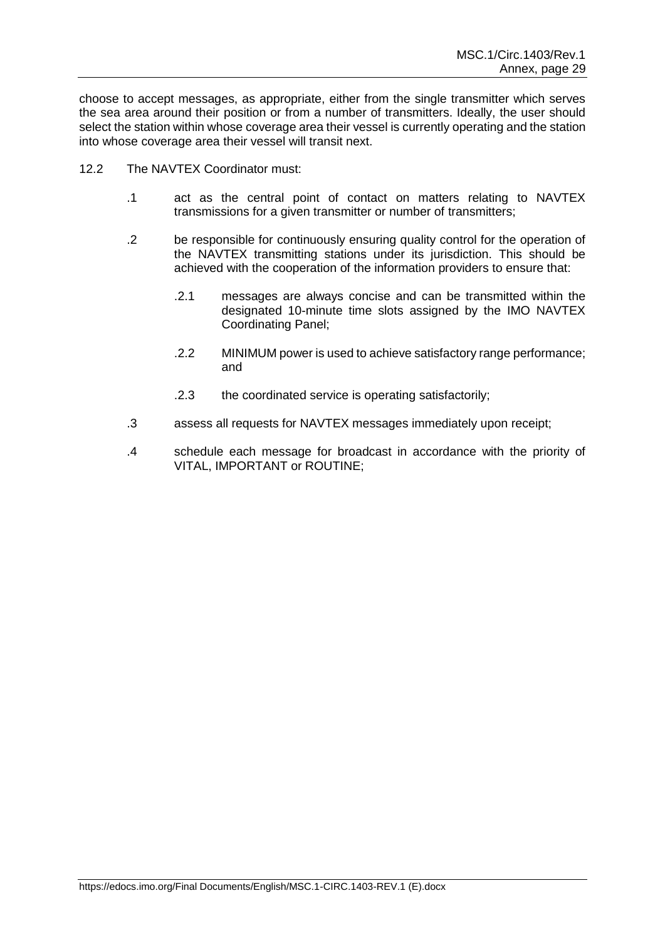choose to accept messages, as appropriate, either from the single transmitter which serves the sea area around their position or from a number of transmitters. Ideally, the user should select the station within whose coverage area their vessel is currently operating and the station into whose coverage area their vessel will transit next.

- 12.2 The NAVTEX Coordinator must:
	- .1 act as the central point of contact on matters relating to NAVTEX transmissions for a given transmitter or number of transmitters;
	- .2 be responsible for continuously ensuring quality control for the operation of the NAVTEX transmitting stations under its jurisdiction. This should be achieved with the cooperation of the information providers to ensure that:
		- .2.1 messages are always concise and can be transmitted within the designated 10-minute time slots assigned by the IMO NAVTEX Coordinating Panel;
		- .2.2 MINIMUM power is used to achieve satisfactory range performance; and
		- .2.3 the coordinated service is operating satisfactorily;
	- .3 assess all requests for NAVTEX messages immediately upon receipt;
	- .4 schedule each message for broadcast in accordance with the priority of VITAL, IMPORTANT or ROUTINE;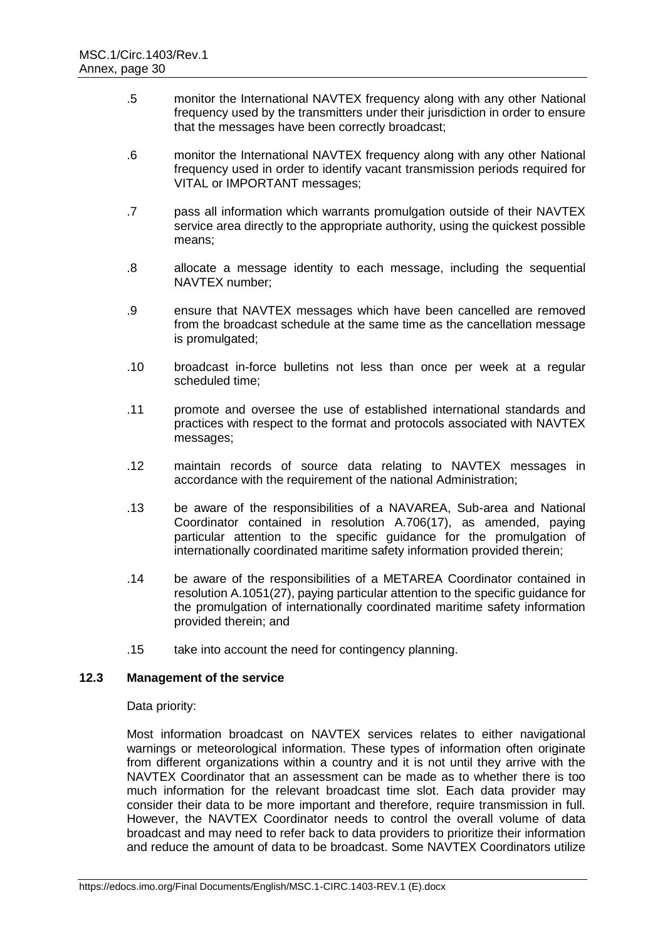- .5 monitor the International NAVTEX frequency along with any other National frequency used by the transmitters under their jurisdiction in order to ensure that the messages have been correctly broadcast;
- .6 monitor the International NAVTEX frequency along with any other National frequency used in order to identify vacant transmission periods required for VITAL or IMPORTANT messages;
- .7 pass all information which warrants promulgation outside of their NAVTEX service area directly to the appropriate authority, using the quickest possible means;
- .8 allocate a message identity to each message, including the sequential NAVTEX number;
- .9 ensure that NAVTEX messages which have been cancelled are removed from the broadcast schedule at the same time as the cancellation message is promulgated;
- .10 broadcast in-force bulletins not less than once per week at a regular scheduled time;
- .11 promote and oversee the use of established international standards and practices with respect to the format and protocols associated with NAVTEX messages;
- .12 maintain records of source data relating to NAVTEX messages in accordance with the requirement of the national Administration;
- .13 be aware of the responsibilities of a NAVAREA, Sub-area and National Coordinator contained in resolution A.706(17), as amended, paying particular attention to the specific guidance for the promulgation of internationally coordinated maritime safety information provided therein;
- .14 be aware of the responsibilities of a METAREA Coordinator contained in resolution A.1051(27), paying particular attention to the specific guidance for the promulgation of internationally coordinated maritime safety information provided therein; and
- .15 take into account the need for contingency planning.

## **12.3 Management of the service**

#### Data priority:

Most information broadcast on NAVTEX services relates to either navigational warnings or meteorological information. These types of information often originate from different organizations within a country and it is not until they arrive with the NAVTEX Coordinator that an assessment can be made as to whether there is too much information for the relevant broadcast time slot. Each data provider may consider their data to be more important and therefore, require transmission in full. However, the NAVTEX Coordinator needs to control the overall volume of data broadcast and may need to refer back to data providers to prioritize their information and reduce the amount of data to be broadcast. Some NAVTEX Coordinators utilize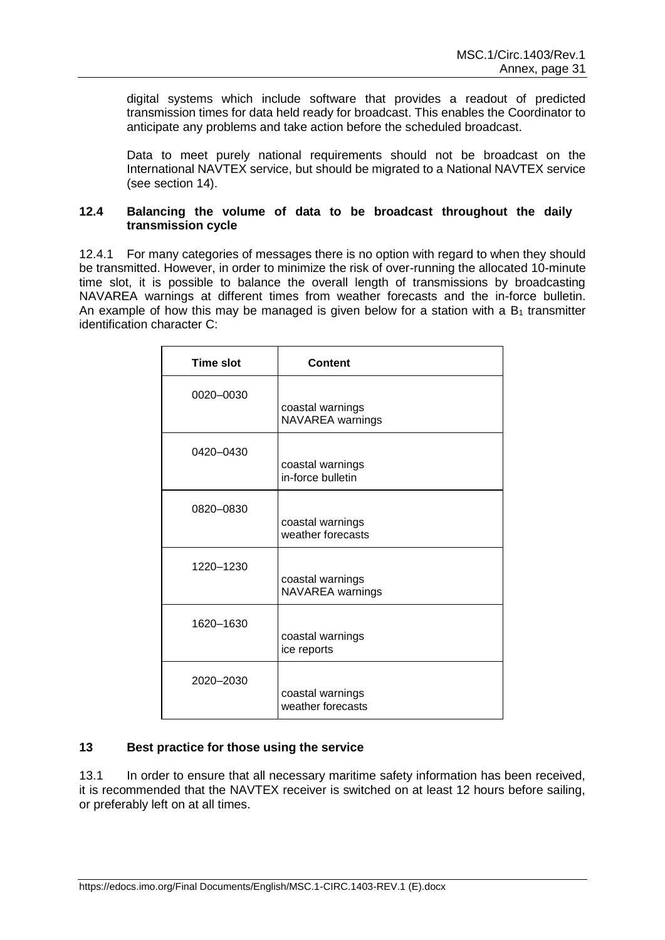digital systems which include software that provides a readout of predicted transmission times for data held ready for broadcast. This enables the Coordinator to anticipate any problems and take action before the scheduled broadcast.

Data to meet purely national requirements should not be broadcast on the International NAVTEX service, but should be migrated to a National NAVTEX service (see section 14).

### **12.4 Balancing the volume of data to be broadcast throughout the daily transmission cycle**

12.4.1 For many categories of messages there is no option with regard to when they should be transmitted. However, in order to minimize the risk of over-running the allocated 10-minute time slot, it is possible to balance the overall length of transmissions by broadcasting NAVAREA warnings at different times from weather forecasts and the in-force bulletin. An example of how this may be managed is given below for a station with a  $B_1$  transmitter identification character C:

| <b>Time slot</b> | <b>Content</b>                        |
|------------------|---------------------------------------|
| 0020-0030        | coastal warnings<br>NAVAREA warnings  |
| 0420-0430        | coastal warnings<br>in-force bulletin |
| 0820-0830        | coastal warnings<br>weather forecasts |
| 1220-1230        | coastal warnings<br>NAVAREA warnings  |
| 1620-1630        | coastal warnings<br>ice reports       |
| 2020-2030        | coastal warnings<br>weather forecasts |

## **13 Best practice for those using the service**

13.1 In order to ensure that all necessary maritime safety information has been received, it is recommended that the NAVTEX receiver is switched on at least 12 hours before sailing, or preferably left on at all times.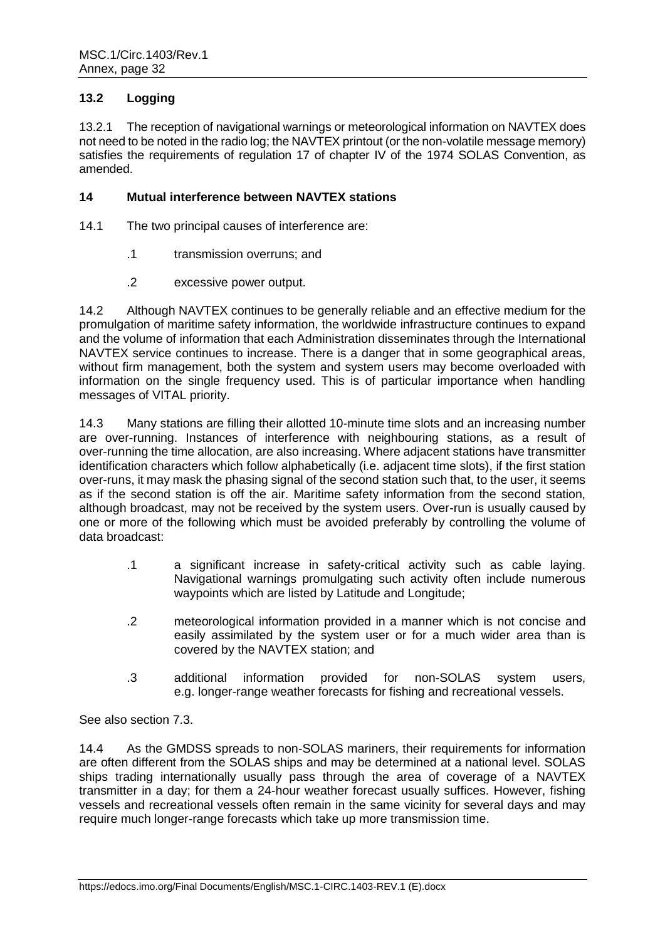# **13.2 Logging**

13.2.1 The reception of navigational warnings or meteorological information on NAVTEX does not need to be noted in the radio log; the NAVTEX printout (or the non-volatile message memory) satisfies the requirements of regulation 17 of chapter IV of the 1974 SOLAS Convention, as amended.

### **14 Mutual interference between NAVTEX stations**

- 14.1 The two principal causes of interference are:
	- .1 transmission overruns; and
	- .2 excessive power output.

14.2 Although NAVTEX continues to be generally reliable and an effective medium for the promulgation of maritime safety information, the worldwide infrastructure continues to expand and the volume of information that each Administration disseminates through the International NAVTEX service continues to increase. There is a danger that in some geographical areas, without firm management, both the system and system users may become overloaded with information on the single frequency used. This is of particular importance when handling messages of VITAL priority.

14.3 Many stations are filling their allotted 10-minute time slots and an increasing number are over-running. Instances of interference with neighbouring stations, as a result of over-running the time allocation, are also increasing. Where adjacent stations have transmitter identification characters which follow alphabetically (i.e. adjacent time slots), if the first station over-runs, it may mask the phasing signal of the second station such that, to the user, it seems as if the second station is off the air. Maritime safety information from the second station, although broadcast, may not be received by the system users. Over-run is usually caused by one or more of the following which must be avoided preferably by controlling the volume of data broadcast:

- .1 a significant increase in safety-critical activity such as cable laying. Navigational warnings promulgating such activity often include numerous waypoints which are listed by Latitude and Longitude;
- .2 meteorological information provided in a manner which is not concise and easily assimilated by the system user or for a much wider area than is covered by the NAVTEX station; and
- .3 additional information provided for non-SOLAS system users, e.g. longer-range weather forecasts for fishing and recreational vessels.

See also section 7.3.

14.4 As the GMDSS spreads to non-SOLAS mariners, their requirements for information are often different from the SOLAS ships and may be determined at a national level. SOLAS ships trading internationally usually pass through the area of coverage of a NAVTEX transmitter in a day; for them a 24-hour weather forecast usually suffices. However, fishing vessels and recreational vessels often remain in the same vicinity for several days and may require much longer-range forecasts which take up more transmission time.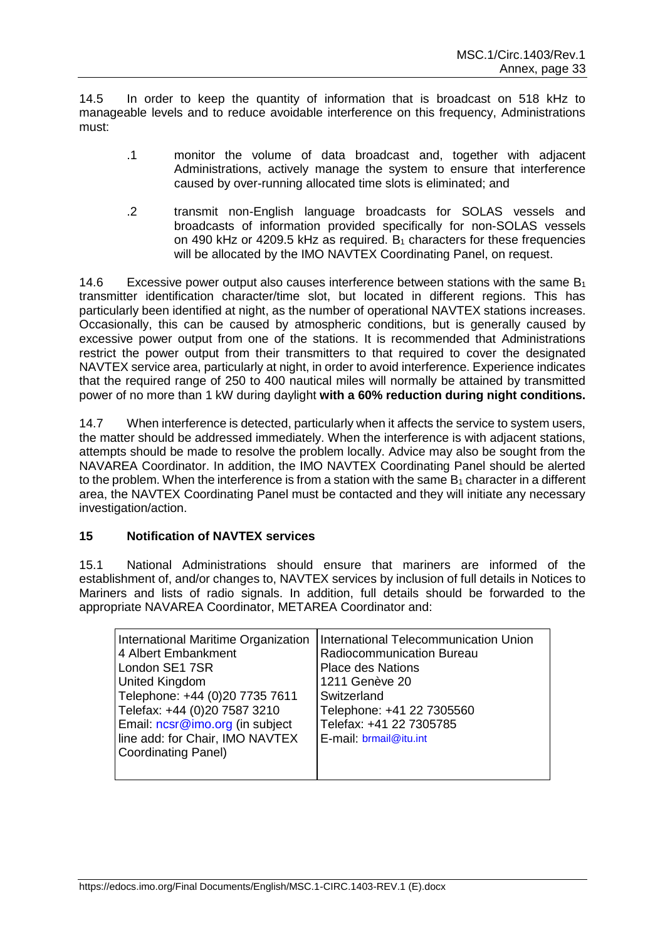14.5 In order to keep the quantity of information that is broadcast on 518 kHz to manageable levels and to reduce avoidable interference on this frequency, Administrations must:

- .1 monitor the volume of data broadcast and, together with adjacent Administrations, actively manage the system to ensure that interference caused by over-running allocated time slots is eliminated; and
- .2 transmit non-English language broadcasts for SOLAS vessels and broadcasts of information provided specifically for non-SOLAS vessels on 490 kHz or 4209.5 kHz as required.  $B_1$  characters for these frequencies will be allocated by the IMO NAVTEX Coordinating Panel, on request.

14.6 Excessive power output also causes interference between stations with the same  $B_1$ transmitter identification character/time slot, but located in different regions. This has particularly been identified at night, as the number of operational NAVTEX stations increases. Occasionally, this can be caused by atmospheric conditions, but is generally caused by excessive power output from one of the stations. It is recommended that Administrations restrict the power output from their transmitters to that required to cover the designated NAVTEX service area, particularly at night, in order to avoid interference. Experience indicates that the required range of 250 to 400 nautical miles will normally be attained by transmitted power of no more than 1 kW during daylight **with a 60% reduction during night conditions.**

14.7 When interference is detected, particularly when it affects the service to system users, the matter should be addressed immediately. When the interference is with adjacent stations, attempts should be made to resolve the problem locally. Advice may also be sought from the NAVAREA Coordinator. In addition, the IMO NAVTEX Coordinating Panel should be alerted to the problem. When the interference is from a station with the same  $B_1$  character in a different area, the NAVTEX Coordinating Panel must be contacted and they will initiate any necessary investigation/action.

# **15 Notification of NAVTEX services**

15.1 National Administrations should ensure that mariners are informed of the establishment of, and/or changes to, NAVTEX services by inclusion of full details in Notices to Mariners and lists of radio signals. In addition, full details should be forwarded to the appropriate NAVAREA Coordinator, METAREA Coordinator and:

| International Maritime Organization<br>4 Albert Embankment<br>London SE1 7SR<br><b>United Kingdom</b><br>Telephone: +44 (0)20 7735 7611<br>Telefax: +44 (0)20 7587 3210<br>Email: ncsr@imo.org (in subject<br>line add: for Chair, IMO NAVTEX<br><b>Coordinating Panel)</b> | International Telecommunication Union<br>Radiocommunication Bureau<br><b>Place des Nations</b><br>1211 Genève 20<br>Switzerland<br>Telephone: +41 22 7305560<br>Telefax: +41 22 7305785<br>E-mail: brmail@itu.int |
|-----------------------------------------------------------------------------------------------------------------------------------------------------------------------------------------------------------------------------------------------------------------------------|-------------------------------------------------------------------------------------------------------------------------------------------------------------------------------------------------------------------|
|                                                                                                                                                                                                                                                                             |                                                                                                                                                                                                                   |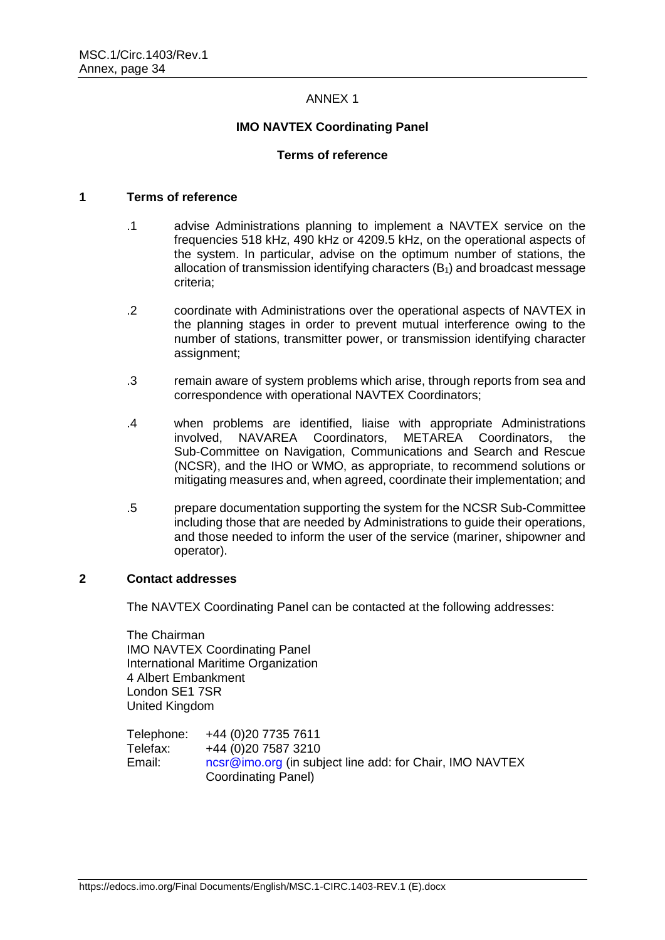### ANNEX 1

### **IMO NAVTEX Coordinating Panel**

#### **Terms of reference**

#### **1 Terms of reference**

- .1 advise Administrations planning to implement a NAVTEX service on the frequencies 518 kHz, 490 kHz or 4209.5 kHz, on the operational aspects of the system. In particular, advise on the optimum number of stations, the allocation of transmission identifying characters  $(B_1)$  and broadcast message criteria;
- .2 coordinate with Administrations over the operational aspects of NAVTEX in the planning stages in order to prevent mutual interference owing to the number of stations, transmitter power, or transmission identifying character assignment;
- .3 remain aware of system problems which arise, through reports from sea and correspondence with operational NAVTEX Coordinators;
- .4 when problems are identified, liaise with appropriate Administrations involved, NAVAREA Coordinators, METAREA Coordinators, the Sub-Committee on Navigation, Communications and Search and Rescue (NCSR), and the IHO or WMO, as appropriate, to recommend solutions or mitigating measures and, when agreed, coordinate their implementation; and
- .5 prepare documentation supporting the system for the NCSR Sub-Committee including those that are needed by Administrations to guide their operations, and those needed to inform the user of the service (mariner, shipowner and operator).

#### **2 Contact addresses**

The NAVTEX Coordinating Panel can be contacted at the following addresses:

The Chairman IMO NAVTEX Coordinating Panel International Maritime Organization 4 Albert Embankment London SE1 7SR United Kingdom

Telephone: +44 (0)20 7735 7611 Telefax: +44 (0)20 7587 3210 Email: [ncsr@imo.org](mailto:ncsr@imo.org) (in subject line add: for Chair, IMO NAVTEX Coordinating Panel)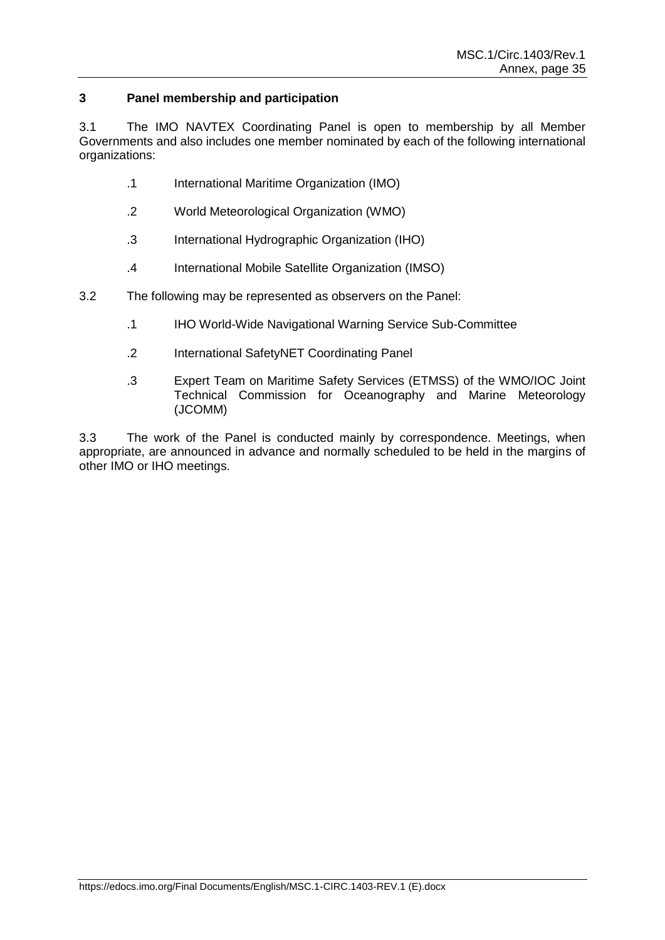## **3 Panel membership and participation**

3.1 The IMO NAVTEX Coordinating Panel is open to membership by all Member Governments and also includes one member nominated by each of the following international organizations:

- .1 International Maritime Organization (IMO)
- .2 World Meteorological Organization (WMO)
- .3 International Hydrographic Organization (IHO)
- .4 International Mobile Satellite Organization (IMSO)
- 3.2 The following may be represented as observers on the Panel:
	- .1 IHO World-Wide Navigational Warning Service Sub-Committee
	- .2 International SafetyNET Coordinating Panel
	- .3 Expert Team on Maritime Safety Services (ETMSS) of the WMO/IOC Joint Technical Commission for Oceanography and Marine Meteorology (JCOMM)

3.3 The work of the Panel is conducted mainly by correspondence. Meetings, when appropriate, are announced in advance and normally scheduled to be held in the margins of other IMO or IHO meetings.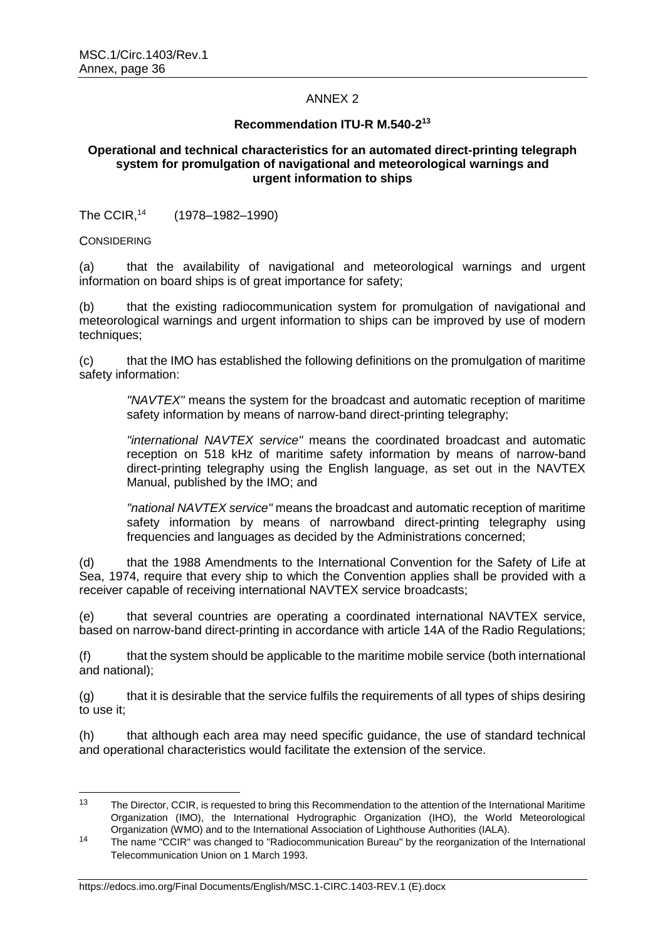## ANNEX 2

## **Recommendation ITU-R M.540-2 13**

### **Operational and technical characteristics for an automated direct-printing telegraph system for promulgation of navigational and meteorological warnings and urgent information to ships**

The CCIR,<sup>14</sup> (1978–1982–1990)

**CONSIDERING** 

(a) that the availability of navigational and meteorological warnings and urgent information on board ships is of great importance for safety;

(b) that the existing radiocommunication system for promulgation of navigational and meteorological warnings and urgent information to ships can be improved by use of modern techniques;

(c) that the IMO has established the following definitions on the promulgation of maritime safety information:

*"NAVTEX"* means the system for the broadcast and automatic reception of maritime safety information by means of narrow-band direct-printing telegraphy;

*"international NAVTEX service"* means the coordinated broadcast and automatic reception on 518 kHz of maritime safety information by means of narrow-band direct-printing telegraphy using the English language, as set out in the NAVTEX Manual, published by the IMO; and

*"national NAVTEX service"* means the broadcast and automatic reception of maritime safety information by means of narrowband direct-printing telegraphy using frequencies and languages as decided by the Administrations concerned;

(d) that the 1988 Amendments to the International Convention for the Safety of Life at Sea, 1974, require that every ship to which the Convention applies shall be provided with a receiver capable of receiving international NAVTEX service broadcasts;

(e) that several countries are operating a coordinated international NAVTEX service, based on narrow-band direct-printing in accordance with article 14A of the Radio Regulations;

(f) that the system should be applicable to the maritime mobile service (both international and national);

(g) that it is desirable that the service fulfils the requirements of all types of ships desiring to use it;

(h) that although each area may need specific guidance, the use of standard technical and operational characteristics would facilitate the extension of the service.

 $13$ The Director, CCIR, is requested to bring this Recommendation to the attention of the International Maritime Organization (IMO), the International Hydrographic Organization (IHO), the World Meteorological Organization (WMO) and to the International Association of Lighthouse Authorities (IALA).

<sup>&</sup>lt;sup>14</sup> The name "CCIR" was changed to "Radiocommunication Bureau" by the reorganization of the International Telecommunication Union on 1 March 1993.

https://edocs.imo.org/Final Documents/English/MSC.1-CIRC.1403-REV.1 (E).docx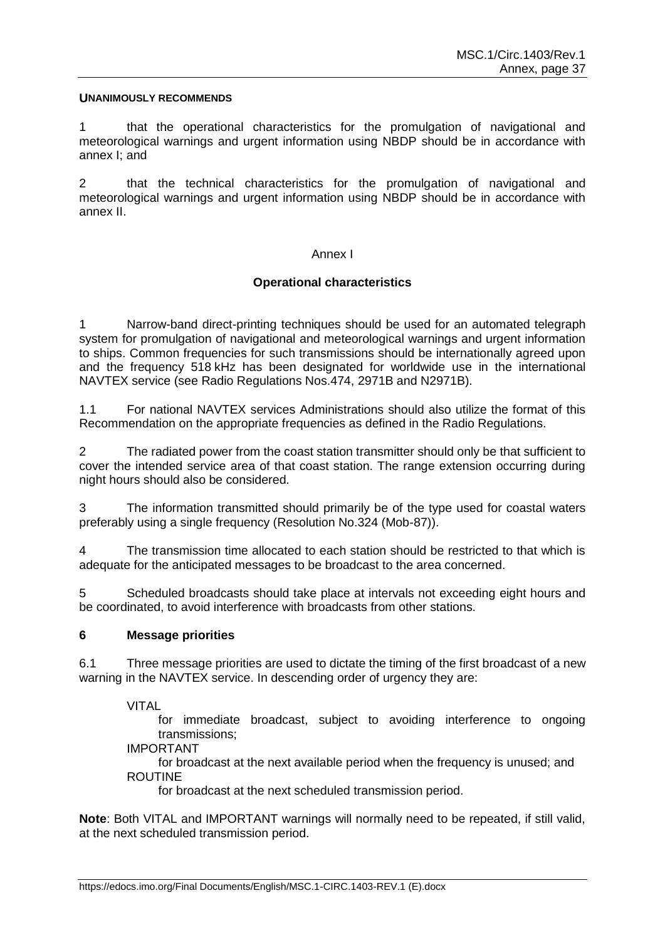#### **UNANIMOUSLY RECOMMENDS**

1 that the operational characteristics for the promulgation of navigational and meteorological warnings and urgent information using NBDP should be in accordance with annex I; and

2 that the technical characteristics for the promulgation of navigational and meteorological warnings and urgent information using NBDP should be in accordance with annex II.

#### Annex I

## **Operational characteristics**

1 Narrow-band direct-printing techniques should be used for an automated telegraph system for promulgation of navigational and meteorological warnings and urgent information to ships. Common frequencies for such transmissions should be internationally agreed upon and the frequency 518 kHz has been designated for worldwide use in the international NAVTEX service (see Radio Regulations Nos.474, 2971B and N2971B).

1.1 For national NAVTEX services Administrations should also utilize the format of this Recommendation on the appropriate frequencies as defined in the Radio Regulations.

2 The radiated power from the coast station transmitter should only be that sufficient to cover the intended service area of that coast station. The range extension occurring during night hours should also be considered.

3 The information transmitted should primarily be of the type used for coastal waters preferably using a single frequency (Resolution No.324 (Mob-87)).

4 The transmission time allocated to each station should be restricted to that which is adequate for the anticipated messages to be broadcast to the area concerned.

5 Scheduled broadcasts should take place at intervals not exceeding eight hours and be coordinated, to avoid interference with broadcasts from other stations.

#### **6 Message priorities**

6.1 Three message priorities are used to dictate the timing of the first broadcast of a new warning in the NAVTEX service. In descending order of urgency they are:

VITAL

for immediate broadcast, subject to avoiding interference to ongoing transmissions;

#### IMPORTANT

for broadcast at the next available period when the frequency is unused; and ROUTINE

for broadcast at the next scheduled transmission period.

**Note**: Both VITAL and IMPORTANT warnings will normally need to be repeated, if still valid, at the next scheduled transmission period.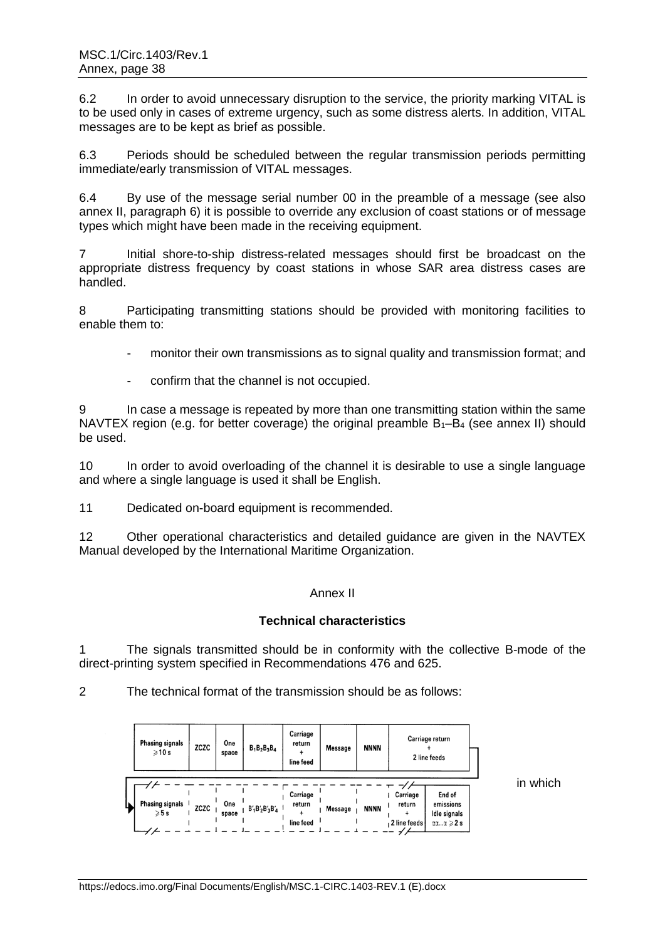6.2 In order to avoid unnecessary disruption to the service, the priority marking VITAL is to be used only in cases of extreme urgency, such as some distress alerts. In addition, VITAL messages are to be kept as brief as possible.

6.3 Periods should be scheduled between the regular transmission periods permitting immediate/early transmission of VITAL messages.

6.4 By use of the message serial number 00 in the preamble of a message (see also annex II, paragraph 6) it is possible to override any exclusion of coast stations or of message types which might have been made in the receiving equipment.

7 Initial shore-to-ship distress-related messages should first be broadcast on the appropriate distress frequency by coast stations in whose SAR area distress cases are handled.

8 Participating transmitting stations should be provided with monitoring facilities to enable them to:

- monitor their own transmissions as to signal quality and transmission format; and
- confirm that the channel is not occupied.

9 In case a message is repeated by more than one transmitting station within the same NAVTEX region (e.g. for better coverage) the original preamble  $B_1-B_4$  (see annex II) should be used.

10 In order to avoid overloading of the channel it is desirable to use a single language and where a single language is used it shall be English.

11 Dedicated on-board equipment is recommended.

12 Other operational characteristics and detailed guidance are given in the NAVTEX Manual developed by the International Maritime Organization.

### Annex II

## **Technical characteristics**

1 The signals transmitted should be in conformity with the collective B-mode of the direct-printing system specified in Recommendations 476 and 625.

2 The technical format of the transmission should be as follows:

| <b>Phasing signals</b><br>$\geqslant$ 10 s | ZCZC | One<br>space | $B_1B_2B_3B_4$       | Carriage<br>return<br>line feed | Message | <b>NNNN</b> |                                      | Carriage return<br>2 line feeds                                           |          |
|--------------------------------------------|------|--------------|----------------------|---------------------------------|---------|-------------|--------------------------------------|---------------------------------------------------------------------------|----------|
| <b>Phasing signals</b><br>$\geqslant 5$ s  | ZCZC | One<br>space | $B'_1B'_2B'_3B'_4$ 1 | Carriage<br>return<br>line feed | Message | <b>NNNN</b> | Carriage<br>return<br>, 2 line feeds | End of<br>emissions<br>Idle signals<br>$\alpha\alpha\alpha \geqslant 2$ s | in which |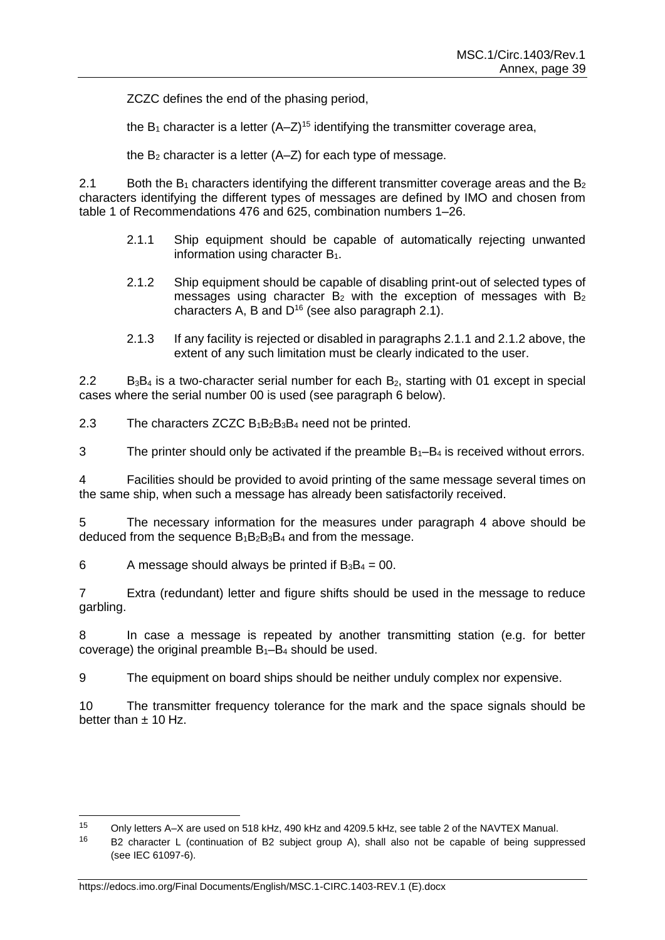ZCZC defines the end of the phasing period,

the  $B_1$  character is a letter  $(A-Z)^{15}$  identifying the transmitter coverage area,

the  $B_2$  character is a letter  $(A-Z)$  for each type of message.

2.1 Both the  $B_1$  characters identifying the different transmitter coverage areas and the  $B_2$ characters identifying the different types of messages are defined by IMO and chosen from table 1 of Recommendations 476 and 625, combination numbers 1–26.

- 2.1.1 Ship equipment should be capable of automatically rejecting unwanted information using character  $B_1$ .
- 2.1.2 Ship equipment should be capable of disabling print-out of selected types of messages using character  $B_2$  with the exception of messages with  $B_2$ characters A, B and  $D^{16}$  (see also paragraph 2.1).
- 2.1.3 If any facility is rejected or disabled in paragraphs 2.1.1 and 2.1.2 above, the extent of any such limitation must be clearly indicated to the user.

 $2.2$  B<sub>3</sub>B<sub>4</sub> is a two-character serial number for each B<sub>2</sub>, starting with 01 except in special cases where the serial number 00 is used (see paragraph 6 below).

2.3 The characters  $ZCZC B_1B_2B_3B_4$  need not be printed.

3 The printer should only be activated if the preamble  $B_1-B_4$  is received without errors.

4 Facilities should be provided to avoid printing of the same message several times on the same ship, when such a message has already been satisfactorily received.

5 The necessary information for the measures under paragraph 4 above should be deduced from the sequence  $B_1B_2B_3B_4$  and from the message.

6 A message should always be printed if  $B_3B_4 = 00$ .

7 Extra (redundant) letter and figure shifts should be used in the message to reduce garbling.

8 In case a message is repeated by another transmitting station (e.g. for better coverage) the original preamble  $B_1-B_4$  should be used.

9 The equipment on board ships should be neither unduly complex nor expensive.

10 The transmitter frequency tolerance for the mark and the space signals should be better than  $\pm$  10 Hz.

 $15<sup>15</sup>$ <sup>15</sup> Only letters A–X are used on 518 kHz, 490 kHz and 4209.5 kHz, see table 2 of the NAVTEX Manual.

 $16$  B2 character L (continuation of B2 subject group A), shall also not be capable of being suppressed (see IEC 61097-6).

https://edocs.imo.org/Final Documents/English/MSC.1-CIRC.1403-REV.1 (E).docx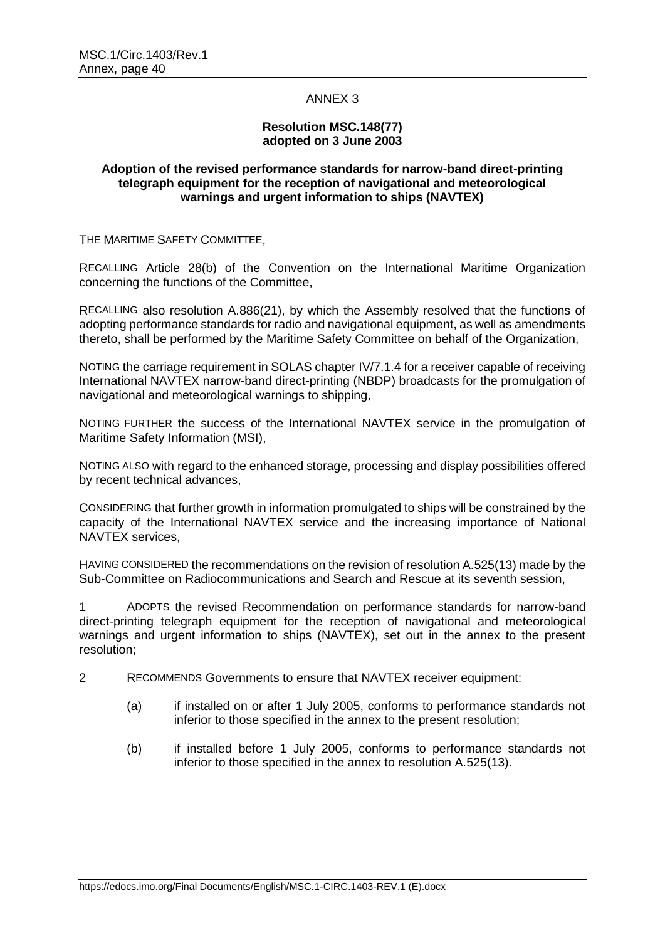### ANNEX 3

### **Resolution MSC.148(77) adopted on 3 June 2003**

### **Adoption of the revised performance standards for narrow-band direct-printing telegraph equipment for the reception of navigational and meteorological warnings and urgent information to ships (NAVTEX)**

THE MARITIME SAFETY COMMITTEE,

RECALLING Article 28(b) of the Convention on the International Maritime Organization concerning the functions of the Committee,

RECALLING also resolution A.886(21), by which the Assembly resolved that the functions of adopting performance standards for radio and navigational equipment, as well as amendments thereto, shall be performed by the Maritime Safety Committee on behalf of the Organization,

NOTING the carriage requirement in SOLAS chapter IV/7.1.4 for a receiver capable of receiving International NAVTEX narrow-band direct-printing (NBDP) broadcasts for the promulgation of navigational and meteorological warnings to shipping,

NOTING FURTHER the success of the International NAVTEX service in the promulgation of Maritime Safety Information (MSI),

NOTING ALSO with regard to the enhanced storage, processing and display possibilities offered by recent technical advances,

CONSIDERING that further growth in information promulgated to ships will be constrained by the capacity of the International NAVTEX service and the increasing importance of National NAVTEX services,

HAVING CONSIDERED the recommendations on the revision of resolution A.525(13) made by the Sub-Committee on Radiocommunications and Search and Rescue at its seventh session,

1 ADOPTS the revised Recommendation on performance standards for narrow-band direct-printing telegraph equipment for the reception of navigational and meteorological warnings and urgent information to ships (NAVTEX), set out in the annex to the present resolution;

- 2 RECOMMENDS Governments to ensure that NAVTEX receiver equipment:
	- (a) if installed on or after 1 July 2005, conforms to performance standards not inferior to those specified in the annex to the present resolution;
	- (b) if installed before 1 July 2005, conforms to performance standards not inferior to those specified in the annex to resolution A.525(13).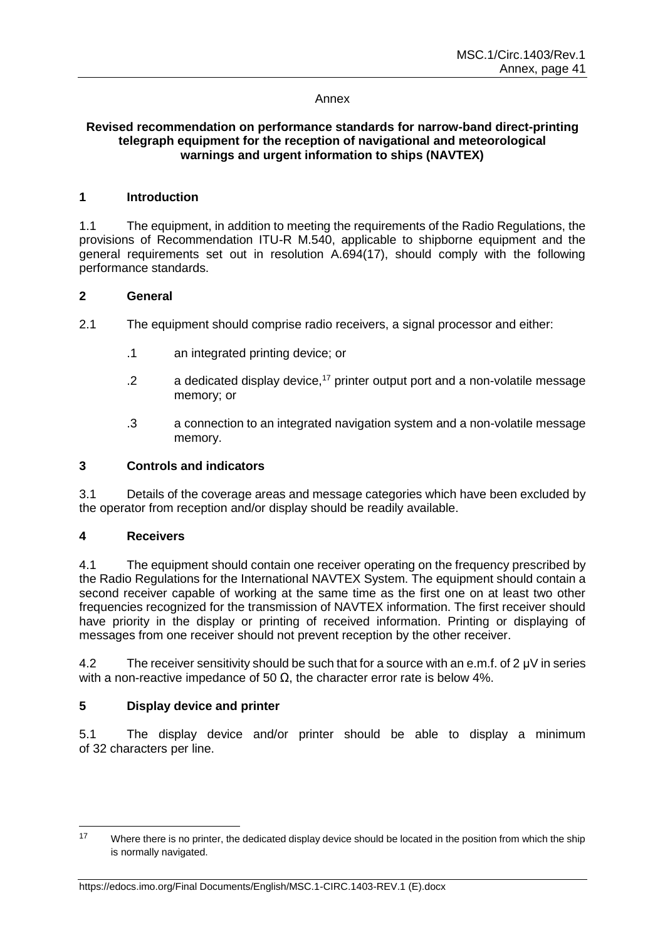#### Annex

### **Revised recommendation on performance standards for narrow-band direct-printing telegraph equipment for the reception of navigational and meteorological warnings and urgent information to ships (NAVTEX)**

### **1 Introduction**

1.1 The equipment, in addition to meeting the requirements of the Radio Regulations, the provisions of Recommendation ITU-R M.540, applicable to shipborne equipment and the general requirements set out in resolution A.694(17), should comply with the following performance standards.

### **2 General**

- 2.1 The equipment should comprise radio receivers, a signal processor and either:
	- .1 an integrated printing device; or
	- $2$  a dedicated display device, <sup>17</sup> printer output port and a non-volatile message memory; or
	- .3 a connection to an integrated navigation system and a non-volatile message memory.

#### **3 Controls and indicators**

3.1 Details of the coverage areas and message categories which have been excluded by the operator from reception and/or display should be readily available.

## **4 Receivers**

4.1 The equipment should contain one receiver operating on the frequency prescribed by the Radio Regulations for the International NAVTEX System. The equipment should contain a second receiver capable of working at the same time as the first one on at least two other frequencies recognized for the transmission of NAVTEX information. The first receiver should have priority in the display or printing of received information. Printing or displaying of messages from one receiver should not prevent reception by the other receiver.

4.2 The receiver sensitivity should be such that for a source with an e.m.f. of 2 μV in series with a non-reactive impedance of 50  $Ω$ , the character error rate is below 4%.

## **5 Display device and printer**

5.1 The display device and/or printer should be able to display a minimum of 32 characters per line.

 $17$ Where there is no printer, the dedicated display device should be located in the position from which the ship is normally navigated.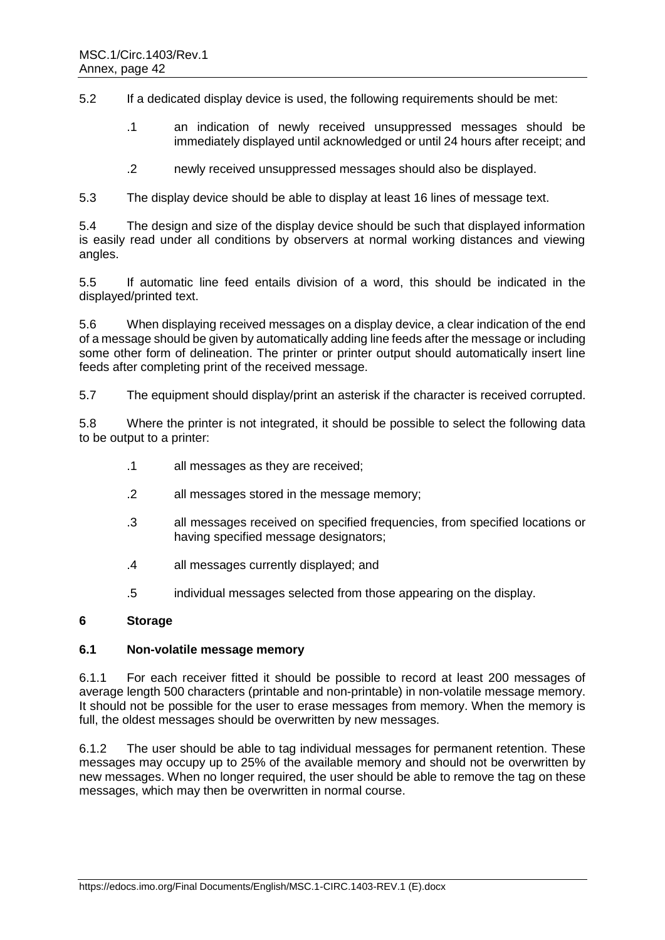5.2 If a dedicated display device is used, the following requirements should be met:

- .1 an indication of newly received unsuppressed messages should be immediately displayed until acknowledged or until 24 hours after receipt; and
- .2 newly received unsuppressed messages should also be displayed.

5.3 The display device should be able to display at least 16 lines of message text.

5.4 The design and size of the display device should be such that displayed information is easily read under all conditions by observers at normal working distances and viewing angles.

5.5 If automatic line feed entails division of a word, this should be indicated in the displayed/printed text.

5.6 When displaying received messages on a display device, a clear indication of the end of a message should be given by automatically adding line feeds after the message or including some other form of delineation. The printer or printer output should automatically insert line feeds after completing print of the received message.

5.7 The equipment should display/print an asterisk if the character is received corrupted.

5.8 Where the printer is not integrated, it should be possible to select the following data to be output to a printer:

- .1 all messages as they are received;
- .2 all messages stored in the message memory;
- .3 all messages received on specified frequencies, from specified locations or having specified message designators;
- .4 all messages currently displayed; and
- .5 individual messages selected from those appearing on the display.

## **6 Storage**

#### **6.1 Non-volatile message memory**

6.1.1 For each receiver fitted it should be possible to record at least 200 messages of average length 500 characters (printable and non-printable) in non-volatile message memory. It should not be possible for the user to erase messages from memory. When the memory is full, the oldest messages should be overwritten by new messages.

6.1.2 The user should be able to tag individual messages for permanent retention. These messages may occupy up to 25% of the available memory and should not be overwritten by new messages. When no longer required, the user should be able to remove the tag on these messages, which may then be overwritten in normal course.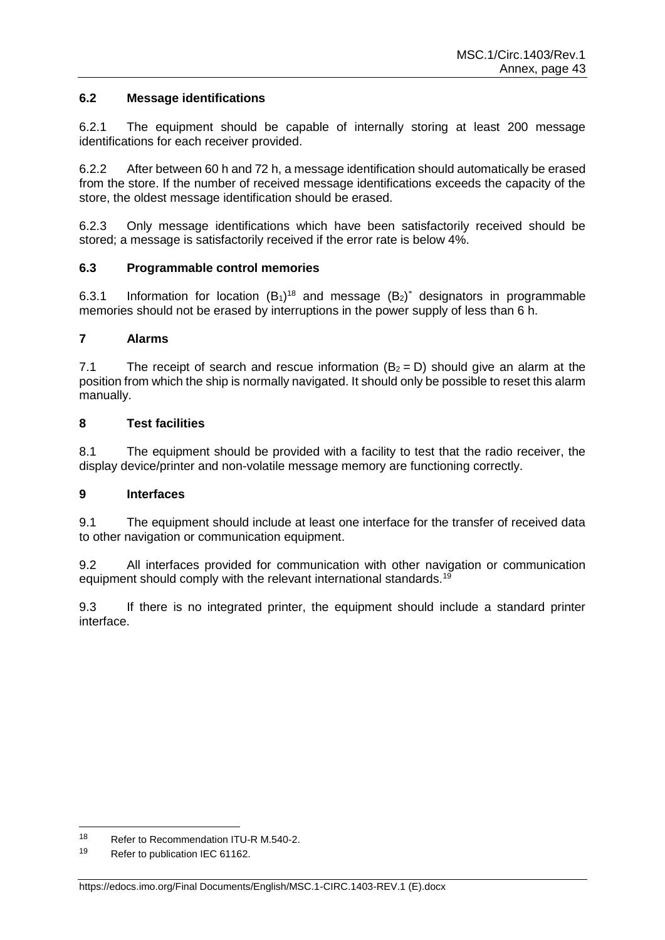## **6.2 Message identifications**

6.2.1 The equipment should be capable of internally storing at least 200 message identifications for each receiver provided.

6.2.2 After between 60 h and 72 h, a message identification should automatically be erased from the store. If the number of received message identifications exceeds the capacity of the store, the oldest message identification should be erased.

6.2.3 Only message identifications which have been satisfactorily received should be stored; a message is satisfactorily received if the error rate is below 4%.

## **6.3 Programmable control memories**

6.3.1 Information for location  $(B_1)^{18}$  and message  $(B_2)^*$  designators in programmable memories should not be erased by interruptions in the power supply of less than 6 h.

### **7 Alarms**

7.1 The receipt of search and rescue information  $(B_2 = D)$  should give an alarm at the position from which the ship is normally navigated. It should only be possible to reset this alarm manually.

### **8 Test facilities**

8.1 The equipment should be provided with a facility to test that the radio receiver, the display device/printer and non-volatile message memory are functioning correctly.

## **9 Interfaces**

9.1 The equipment should include at least one interface for the transfer of received data to other navigation or communication equipment.

9.2 All interfaces provided for communication with other navigation or communication equipment should comply with the relevant international standards.<sup>19</sup>

9.3 If there is no integrated printer, the equipment should include a standard printer interface.

<sup>18</sup> <sup>18</sup> Refer to Recommendation ITU-R M.540-2.

<sup>19</sup> Refer to publication IEC 61162.

https://edocs.imo.org/Final Documents/English/MSC.1-CIRC.1403-REV.1 (E).docx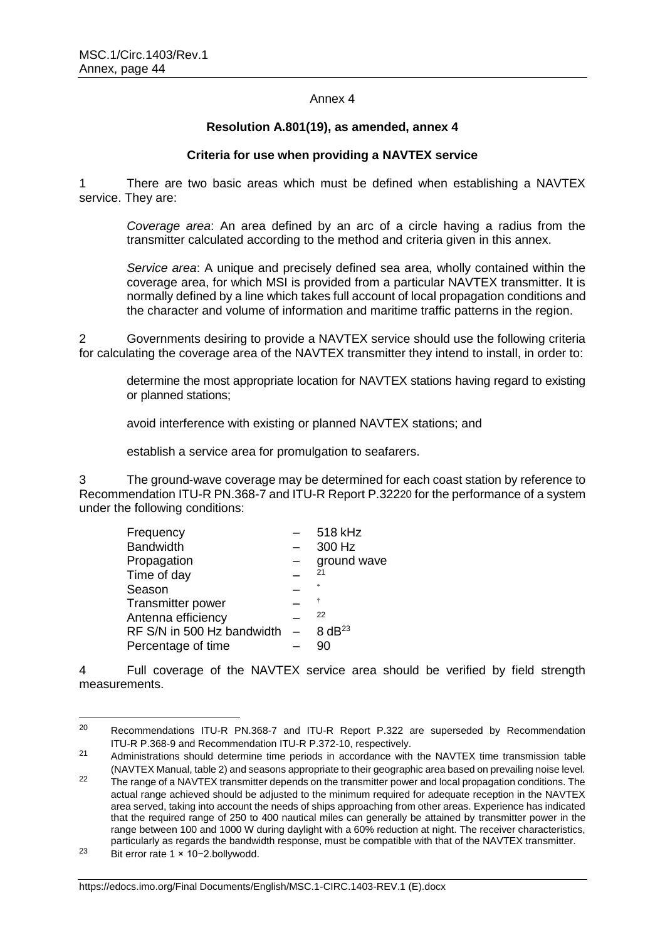#### Annex 4

#### **Resolution A.801(19), as amended, annex 4**

### **Criteria for use when providing a NAVTEX service**

1 There are two basic areas which must be defined when establishing a NAVTEX service. They are:

*Coverage area*: An area defined by an arc of a circle having a radius from the transmitter calculated according to the method and criteria given in this annex.

*Service area*: A unique and precisely defined sea area, wholly contained within the coverage area, for which MSI is provided from a particular NAVTEX transmitter. It is normally defined by a line which takes full account of local propagation conditions and the character and volume of information and maritime traffic patterns in the region.

2 Governments desiring to provide a NAVTEX service should use the following criteria for calculating the coverage area of the NAVTEX transmitter they intend to install, in order to:

determine the most appropriate location for NAVTEX stations having regard to existing or planned stations;

avoid interference with existing or planned NAVTEX stations; and

establish a service area for promulgation to seafarers.

3 The ground-wave coverage may be determined for each coast station by reference to Recommendation ITU-R PN.368-7 and ITU-R Report P.32220 for the performance of a system under the following conditions:

| Frequency                      | 518 kHz     |
|--------------------------------|-------------|
| <b>Bandwidth</b>               | 300 Hz      |
| Propagation                    | ground wave |
| Time of day                    | 21          |
| Season                         |             |
| Transmitter power              | ÷           |
| Antenna efficiency             | 22          |
| RF S/N in 500 Hz bandwidth $-$ | $8 dB^{23}$ |
| Percentage of time             | 90          |

4 Full coverage of the NAVTEX service area should be verified by field strength measurements.

<sup>20</sup> Recommendations ITU-R PN.368-7 and ITU-R Report P.322 are superseded by Recommendation ITU-R P.368-9 and Recommendation ITU-R P.372-10, respectively.

<sup>&</sup>lt;sup>21</sup> Administrations should determine time periods in accordance with the NAVTEX time transmission table (NAVTEX Manual, table 2) and seasons appropriate to their geographic area based on prevailing noise level.

<sup>&</sup>lt;sup>22</sup> The range of a NAVTEX transmitter depends on the transmitter power and local propagation conditions. The actual range achieved should be adjusted to the minimum required for adequate reception in the NAVTEX area served, taking into account the needs of ships approaching from other areas. Experience has indicated that the required range of 250 to 400 nautical miles can generally be attained by transmitter power in the range between 100 and 1000 W during daylight with a 60% reduction at night. The receiver characteristics, particularly as regards the bandwidth response, must be compatible with that of the NAVTEX transmitter.

<sup>23</sup> Bit error rate 1 × 10−2.bollywodd.